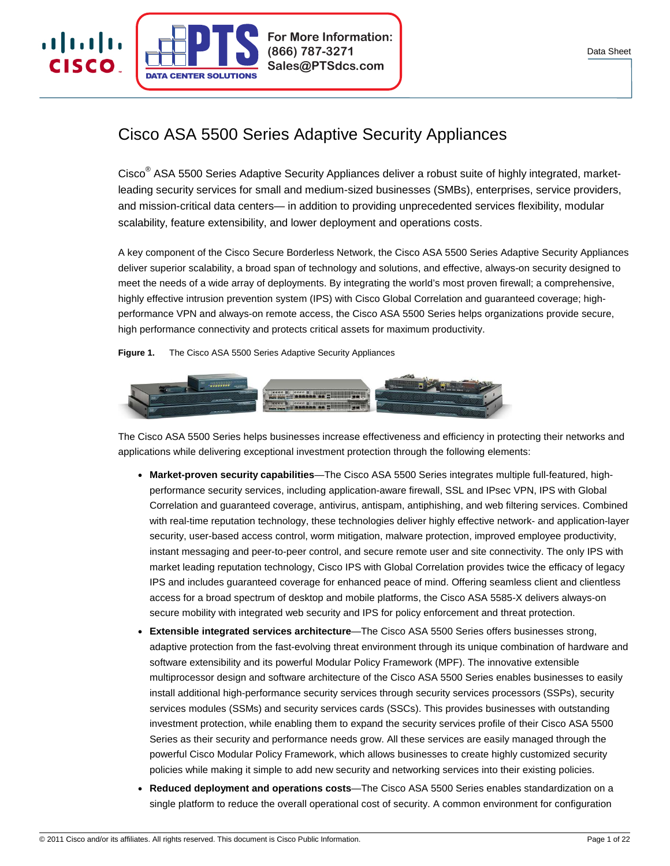

# Cisco ASA 5500 Series Adaptive Security Appliances

**(866) 787-3271 Sales@PTSdcs.com**

**For More Information:**

Cisco<sup>®</sup> ASA 5500 Series Adaptive Security Appliances deliver a robust suite of highly integrated, marketleading security services for small and medium-sized businesses (SMBs), enterprises, service providers, and mission-critical data centers— in addition to providing unprecedented services flexibility, modular scalability, feature extensibility, and lower deployment and operations costs.

A key component of the Cisco Secure Borderless Network, the Cisco ASA 5500 Series Adaptive Security Appliances deliver superior scalability, a broad span of technology and solutions, and effective, always-on security designed to meet the needs of a wide array of deployments. By integrating the world's most proven firewall; a comprehensive, highly effective intrusion prevention system (IPS) with Cisco Global Correlation and guaranteed coverage; highperformance VPN and always-on remote access, the Cisco ASA 5500 Series helps organizations provide secure, high performance connectivity and protects critical assets for maximum productivity.

**Figure 1.** The Cisco ASA 5500 Series Adaptive Security Appliances

**CENTER SOLUTIONS** 

almlı

CISCO.



The Cisco ASA 5500 Series helps businesses increase effectiveness and efficiency in protecting their networks and applications while delivering exceptional investment protection through the following elements:

- **Market-proven security capabilities**—The Cisco ASA 5500 Series integrates multiple full-featured, highperformance security services, including application-aware firewall, SSL and IPsec VPN, IPS with Global Correlation and guaranteed coverage, antivirus, antispam, antiphishing, and web filtering services. Combined with real-time reputation technology, these technologies deliver highly effective network- and application-layer security, user-based access control, worm mitigation, malware protection, improved employee productivity, instant messaging and peer-to-peer control, and secure remote user and site connectivity. The only IPS with market leading reputation technology, Cisco IPS with Global Correlation provides twice the efficacy of legacy IPS and includes guaranteed coverage for enhanced peace of mind. Offering seamless client and clientless access for a broad spectrum of desktop and mobile platforms, the Cisco ASA 5585-X delivers always-on secure mobility with integrated web security and IPS for policy enforcement and threat protection.
- **Extensible integrated services architecture—The Cisco ASA 5500 Series offers businesses strong,** adaptive protection from the fast-evolving threat environment through its unique combination of hardware and software extensibility and its powerful Modular Policy Framework (MPF). The innovative extensible multiprocessor design and software architecture of the Cisco ASA 5500 Series enables businesses to easily install additional high-performance security services through security services processors (SSPs), security services modules (SSMs) and security services cards (SSCs). This provides businesses with outstanding investment protection, while enabling them to expand the security services profile of their Cisco ASA 5500 Series as their security and performance needs grow. All these services are easily managed through the powerful Cisco Modular Policy Framework, which allows businesses to create highly customized security policies while making it simple to add new security and networking services into their existing policies.
- **Reduced deployment and operations costs**—The Cisco ASA 5500 Series enables standardization on a single platform to reduce the overall operational cost of security. A common environment for configuration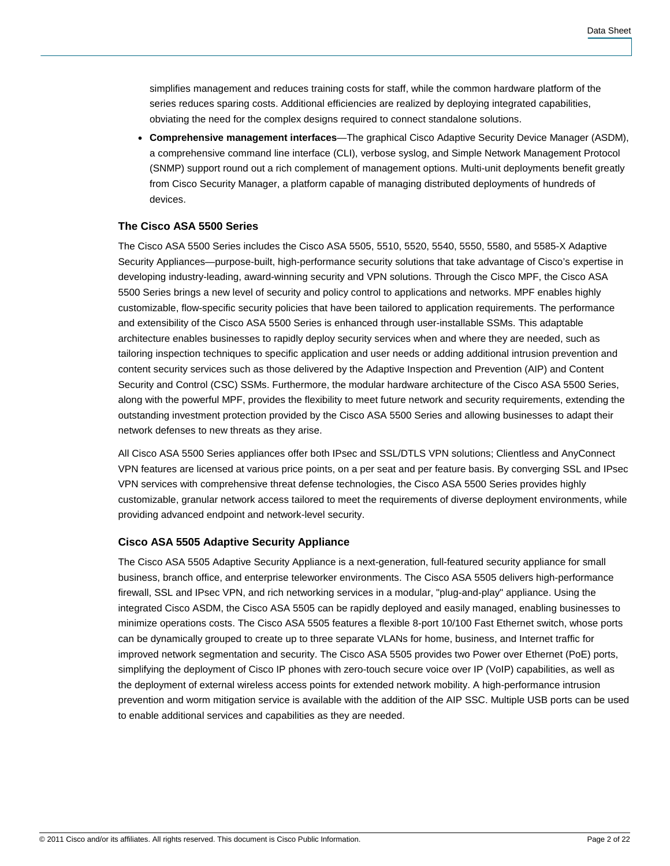simplifies management and reduces training costs for staff, while the common hardware platform of the series reduces sparing costs. Additional efficiencies are realized by deploying integrated capabilities, obviating the need for the complex designs required to connect standalone solutions.

● **Comprehensive management interfaces**—The graphical Cisco Adaptive Security Device Manager (ASDM), a comprehensive command line interface (CLI), verbose syslog, and Simple Network Management Protocol (SNMP) support round out a rich complement of management options. Multi-unit deployments benefit greatly from Cisco Security Manager, a platform capable of managing distributed deployments of hundreds of devices.

# **The Cisco ASA 5500 Series**

The Cisco ASA 5500 Series includes the Cisco ASA 5505, 5510, 5520, 5540, 5550, 5580, and 5585-X Adaptive Security Appliances—purpose-built, high-performance security solutions that take advantage of Cisco's expertise in developing industry-leading, award-winning security and VPN solutions. Through the Cisco MPF, the Cisco ASA 5500 Series brings a new level of security and policy control to applications and networks. MPF enables highly customizable, flow-specific security policies that have been tailored to application requirements. The performance and extensibility of the Cisco ASA 5500 Series is enhanced through user-installable SSMs. This adaptable architecture enables businesses to rapidly deploy security services when and where they are needed, such as tailoring inspection techniques to specific application and user needs or adding additional intrusion prevention and content security services such as those delivered by the Adaptive Inspection and Prevention (AIP) and Content Security and Control (CSC) SSMs. Furthermore, the modular hardware architecture of the Cisco ASA 5500 Series, along with the powerful MPF, provides the flexibility to meet future network and security requirements, extending the outstanding investment protection provided by the Cisco ASA 5500 Series and allowing businesses to adapt their network defenses to new threats as they arise.

All Cisco ASA 5500 Series appliances offer both IPsec and SSL/DTLS VPN solutions; Clientless and AnyConnect VPN features are licensed at various price points, on a per seat and per feature basis. By converging SSL and IPsec VPN services with comprehensive threat defense technologies, the Cisco ASA 5500 Series provides highly customizable, granular network access tailored to meet the requirements of diverse deployment environments, while providing advanced endpoint and network-level security.

#### **Cisco ASA 5505 Adaptive Security Appliance**

The Cisco ASA 5505 Adaptive Security Appliance is a next-generation, full-featured security appliance for small business, branch office, and enterprise teleworker environments. The Cisco ASA 5505 delivers high-performance firewall, SSL and IPsec VPN, and rich networking services in a modular, "plug-and-play" appliance. Using the integrated Cisco ASDM, the Cisco ASA 5505 can be rapidly deployed and easily managed, enabling businesses to minimize operations costs. The Cisco ASA 5505 features a flexible 8-port 10/100 Fast Ethernet switch, whose ports can be dynamically grouped to create up to three separate VLANs for home, business, and Internet traffic for improved network segmentation and security. The Cisco ASA 5505 provides two Power over Ethernet (PoE) ports, simplifying the deployment of Cisco IP phones with zero-touch secure voice over IP (VoIP) capabilities, as well as the deployment of external wireless access points for extended network mobility. A high-performance intrusion prevention and worm mitigation service is available with the addition of the AIP SSC. Multiple USB ports can be used to enable additional services and capabilities as they are needed.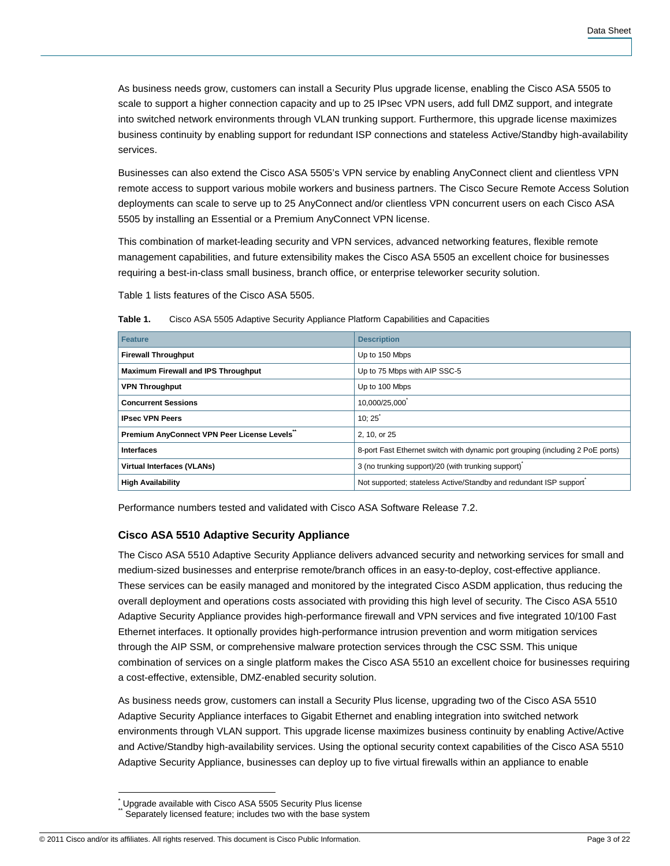As business needs grow, customers can install a Security Plus upgrade license, enabling the Cisco ASA 5505 to scale to support a higher connection capacity and up to 25 IPsec VPN users, add full DMZ support, and integrate into switched network environments through VLAN trunking support. Furthermore, this upgrade license maximizes business continuity by enabling support for redundant ISP connections and stateless Active/Standby high-availability services.

Businesses can also extend the Cisco ASA 5505's VPN service by enabling AnyConnect client and clientless VPN remote access to support various mobile workers and business partners. The Cisco Secure Remote Access Solution deployments can scale to serve up to 25 AnyConnect and/or clientless VPN concurrent users on each Cisco ASA 5505 by installing an Essential or a Premium AnyConnect VPN license.

This combination of market-leading security and VPN services, advanced networking features, flexible remote management capabilities, and future extensibility makes the Cisco ASA 5505 an excellent choice for businesses requiring a best-in-class small business, branch office, or enterprise teleworker security solution.

Table 1 lists features of the Cisco ASA 5505.

| ו סוטוסו. | Cisco Ada Judy Adaptive Occurry Appliatice Flationin Capabilities and Capacities |  |
|-----------|----------------------------------------------------------------------------------|--|
|           |                                                                                  |  |

**Table 1.** Cisco ASA 5505 Adaptive Security Appliance Platform Capabilities and Capacities

| <b>Feature</b>                             | <b>Description</b>                                                             |
|--------------------------------------------|--------------------------------------------------------------------------------|
| <b>Firewall Throughput</b>                 | Up to 150 Mbps                                                                 |
| <b>Maximum Firewall and IPS Throughput</b> | Up to 75 Mbps with AIP SSC-5                                                   |
| <b>VPN Throughput</b>                      | Up to 100 Mbps                                                                 |
| <b>Concurrent Sessions</b>                 | 10,000/25,000                                                                  |
| <b>IPsec VPN Peers</b>                     | 10:25                                                                          |
| Premium AnyConnect VPN Peer License Levels | 2, 10, or 25                                                                   |
| <b>Interfaces</b>                          | 8-port Fast Ethernet switch with dynamic port grouping (including 2 PoE ports) |
| <b>Virtual Interfaces (VLANs)</b>          | 3 (no trunking support)/20 (with trunking support)                             |
| <b>High Availability</b>                   | Not supported; stateless Active/Standby and redundant ISP support              |

Performance numbers tested and validated with Cisco ASA Software Release 7.2.

# **Cisco ASA 5510 Adaptive Security Appliance**

The Cisco ASA 5510 Adaptive Security Appliance delivers advanced security and networking services for small and medium-sized businesses and enterprise remote/branch offices in an easy-to-deploy, cost-effective appliance. These services can be easily managed and monitored by the integrated Cisco ASDM application, thus reducing the overall deployment and operations costs associated with providing this high level of security. The Cisco ASA 5510 Adaptive Security Appliance provides high-performance firewall and VPN services and five integrated 10/100 Fast Ethernet interfaces. It optionally provides high-performance intrusion prevention and worm mitigation services through the AIP SSM, or comprehensive malware protection services through the CSC SSM. This unique combination of services on a single platform makes the Cisco ASA 5510 an excellent choice for businesses requiring a cost-effective, extensible, DMZ-enabled security solution.

As business needs grow, customers can install a Security Plus license, upgrading two of the Cisco ASA 5510 Adaptive Security Appliance interfaces to Gigabit Ethernet and enabling integration into switched network environments through VLAN support. This upgrade license maximizes business continuity by enabling Active/Active and Active/Standby high-availability services. Using the optional security context capabilities of the Cisco ASA 5510 Adaptive Security Appliance, businesses can deploy up to five virtual firewalls within an appliance to enable

 $\overline{1}$ \* Upgrade available with Cisco ASA 5505 Security Plus license Separately licensed feature; includes two with the base system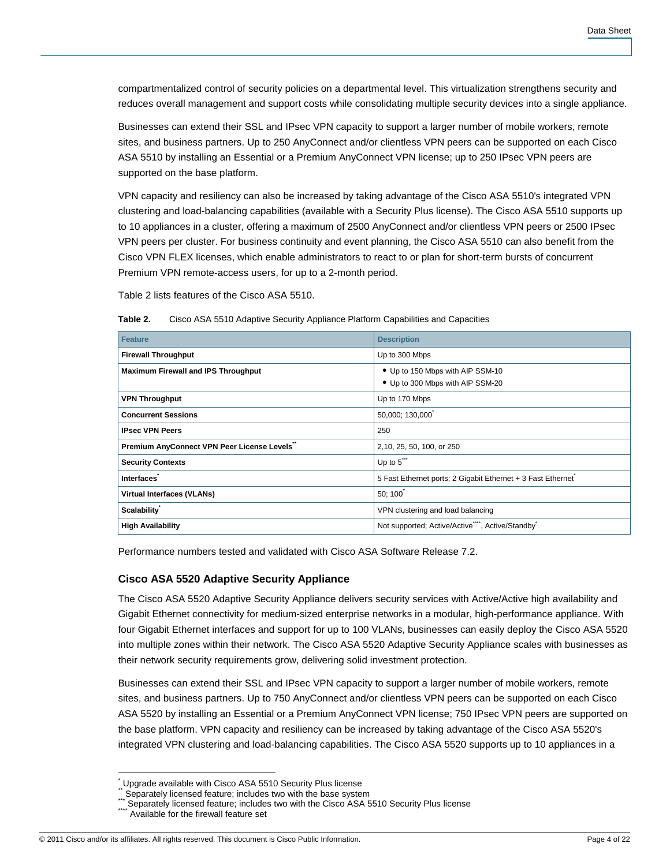compartmentalized control of security policies on a departmental level. This virtualization strengthens security and reduces overall management and support costs while consolidating multiple security devices into a single appliance.

Businesses can extend their SSL and IPsec VPN capacity to support a larger number of mobile workers, remote sites, and business partners. Up to 250 AnyConnect and/or clientless VPN peers can be supported on each Cisco ASA 5510 by installing an Essential or a Premium AnyConnect VPN license; up to 250 IPsec VPN peers are supported on the base platform.

VPN capacity and resiliency can also be increased by taking advantage of the Cisco ASA 5510's integrated VPN clustering and load-balancing capabilities (available with a Security Plus license). The Cisco ASA 5510 supports up to 10 appliances in a cluster, offering a maximum of 2500 AnyConnect and/or clientless VPN peers or 2500 IPsec VPN peers per cluster. For business continuity and event planning, the Cisco ASA 5510 can also benefit from the Cisco VPN FLEX licenses, which enable administrators to react to or plan for short-term bursts of concurrent Premium VPN remote-access users, for up to a 2-month period.

Table 2 lists features of the Cisco ASA 5510.

| Table 2. | Cisco ASA 5510 Adaptive Security Appliance Platform Capabilities and Capacities |
|----------|---------------------------------------------------------------------------------|
|----------|---------------------------------------------------------------------------------|

| <b>Feature</b>                              | <b>Description</b>                                                        |
|---------------------------------------------|---------------------------------------------------------------------------|
| <b>Firewall Throughput</b>                  | Up to 300 Mbps                                                            |
| <b>Maximum Firewall and IPS Throughput</b>  | • Up to 150 Mbps with AIP SSM-10<br>• Up to 300 Mbps with AIP SSM-20      |
| <b>VPN Throughput</b>                       | Up to 170 Mbps                                                            |
| <b>Concurrent Sessions</b>                  | 50,000; 130,000                                                           |
| <b>IPsec VPN Peers</b>                      | 250                                                                       |
| Premium AnyConnect VPN Peer License Levels" | 2,10, 25, 50, 100, or 250                                                 |
| <b>Security Contexts</b>                    | Up to $5^{\prime\prime\prime}$                                            |
| Interfaces                                  | 5 Fast Ethernet ports; 2 Gigabit Ethernet + 3 Fast Ethernet               |
| <b>Virtual Interfaces (VLANs)</b>           | 50; 100                                                                   |
| Scalability <sup>*</sup>                    | VPN clustering and load balancing                                         |
| <b>High Availability</b>                    | Not supported; Active/Active <sup>***</sup> , Active/Standby <sup>*</sup> |

Performance numbers tested and validated with Cisco ASA Software Release 7.2.

# **Cisco ASA 5520 Adaptive Security Appliance**

The Cisco ASA 5520 Adaptive Security Appliance delivers security services with Active/Active high availability and Gigabit Ethernet connectivity for medium-sized enterprise networks in a modular, high-performance appliance. With four Gigabit Ethernet interfaces and support for up to 100 VLANs, businesses can easily deploy the Cisco ASA 5520 into multiple zones within their network. The Cisco ASA 5520 Adaptive Security Appliance scales with businesses as their network security requirements grow, delivering solid investment protection.

Businesses can extend their SSL and IPsec VPN capacity to support a larger number of mobile workers, remote sites, and business partners. Up to 750 AnyConnect and/or clientless VPN peers can be supported on each Cisco ASA 5520 by installing an Essential or a Premium AnyConnect VPN license; 750 IPsec VPN peers are supported on the base platform. VPN capacity and resiliency can be increased by taking advantage of the Cisco ASA 5520's integrated VPN clustering and load-balancing capabilities. The Cisco ASA 5520 supports up to 10 appliances in a

 $\overline{\phantom{a}}$ 

<sup>\*</sup> Upgrade available with Cisco ASA 5510 Security Plus license

Separately licensed feature; includes two with the base system

<sup>\*\*\*</sup> Separately licensed require; includes two with the pase system<br>\*\*\* Separately licensed feature; includes two with the Cisco ASA 5510 Security Plus license<br>\*\*\* Aveilable facture from

Available for the firewall feature set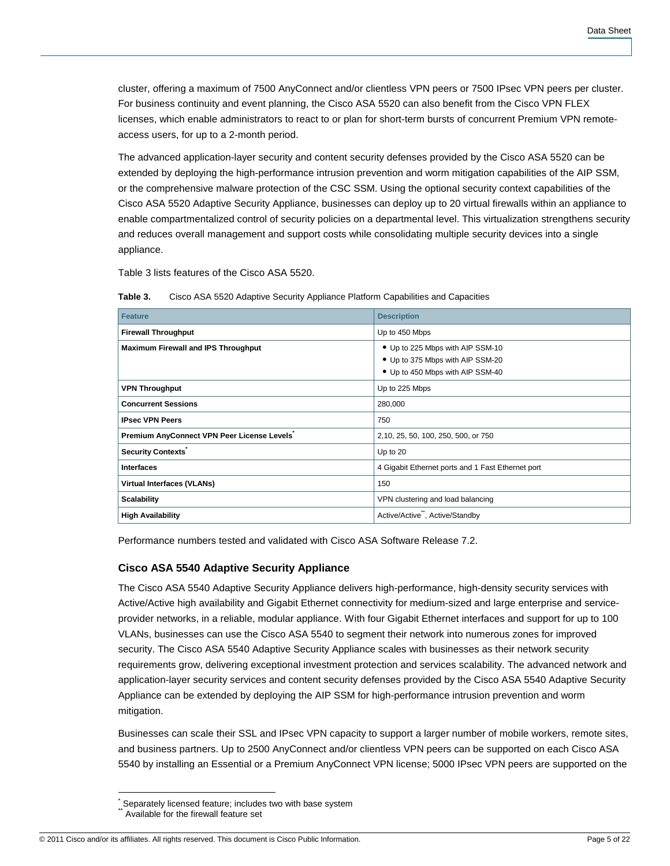cluster, offering a maximum of 7500 AnyConnect and/or clientless VPN peers or 7500 IPsec VPN peers per cluster. For business continuity and event planning, the Cisco ASA 5520 can also benefit from the Cisco VPN FLEX licenses, which enable administrators to react to or plan for short-term bursts of concurrent Premium VPN remoteaccess users, for up to a 2-month period.

The advanced application-layer security and content security defenses provided by the Cisco ASA 5520 can be extended by deploying the high-performance intrusion prevention and worm mitigation capabilities of the AIP SSM, or the comprehensive malware protection of the CSC SSM. Using the optional security context capabilities of the Cisco ASA 5520 Adaptive Security Appliance, businesses can deploy up to 20 virtual firewalls within an appliance to enable compartmentalized control of security policies on a departmental level. This virtualization strengthens security and reduces overall management and support costs while consolidating multiple security devices into a single appliance.

Table 3 lists features of the Cisco ASA 5520.

| <b>Feature</b>                             | <b>Description</b>                                                                                       |
|--------------------------------------------|----------------------------------------------------------------------------------------------------------|
| <b>Firewall Throughput</b>                 | Up to 450 Mbps                                                                                           |
| <b>Maximum Firewall and IPS Throughput</b> | • Up to 225 Mbps with AIP SSM-10<br>• Up to 375 Mbps with AIP SSM-20<br>• Up to 450 Mbps with AIP SSM-40 |
| <b>VPN Throughput</b>                      | Up to 225 Mbps                                                                                           |
| <b>Concurrent Sessions</b>                 | 280,000                                                                                                  |
| <b>IPsec VPN Peers</b>                     | 750                                                                                                      |
| Premium AnyConnect VPN Peer License Levels | 2,10, 25, 50, 100, 250, 500, or 750                                                                      |
| <b>Security Contexts</b>                   | Up to 20                                                                                                 |
| <b>Interfaces</b>                          | 4 Gigabit Ethernet ports and 1 Fast Ethernet port                                                        |
| <b>Virtual Interfaces (VLANs)</b>          | 150                                                                                                      |
| <b>Scalability</b>                         | VPN clustering and load balancing                                                                        |
| <b>High Availability</b>                   | Active/Active <sup>**</sup> , Active/Standby                                                             |

**Table 3.** Cisco ASA 5520 Adaptive Security Appliance Platform Capabilities and Capacities

Performance numbers tested and validated with Cisco ASA Software Release 7.2.

# **Cisco ASA 5540 Adaptive Security Appliance**

The Cisco ASA 5540 Adaptive Security Appliance delivers high-performance, high-density security services with Active/Active high availability and Gigabit Ethernet connectivity for medium-sized and large enterprise and serviceprovider networks, in a reliable, modular appliance. With four Gigabit Ethernet interfaces and support for up to 100 VLANs, businesses can use the Cisco ASA 5540 to segment their network into numerous zones for improved security. The Cisco ASA 5540 Adaptive Security Appliance scales with businesses as their network security requirements grow, delivering exceptional investment protection and services scalability. The advanced network and application-layer security services and content security defenses provided by the Cisco ASA 5540 Adaptive Security Appliance can be extended by deploying the AIP SSM for high-performance intrusion prevention and worm mitigation.

Businesses can scale their SSL and IPsec VPN capacity to support a larger number of mobile workers, remote sites, and business partners. Up to 2500 AnyConnect and/or clientless VPN peers can be supported on each Cisco ASA 5540 by installing an Essential or a Premium AnyConnect VPN license; 5000 IPsec VPN peers are supported on the

 $\overline{1}$ 

<sup>\*</sup> Separately licensed feature; includes two with base system Available for the firewall feature set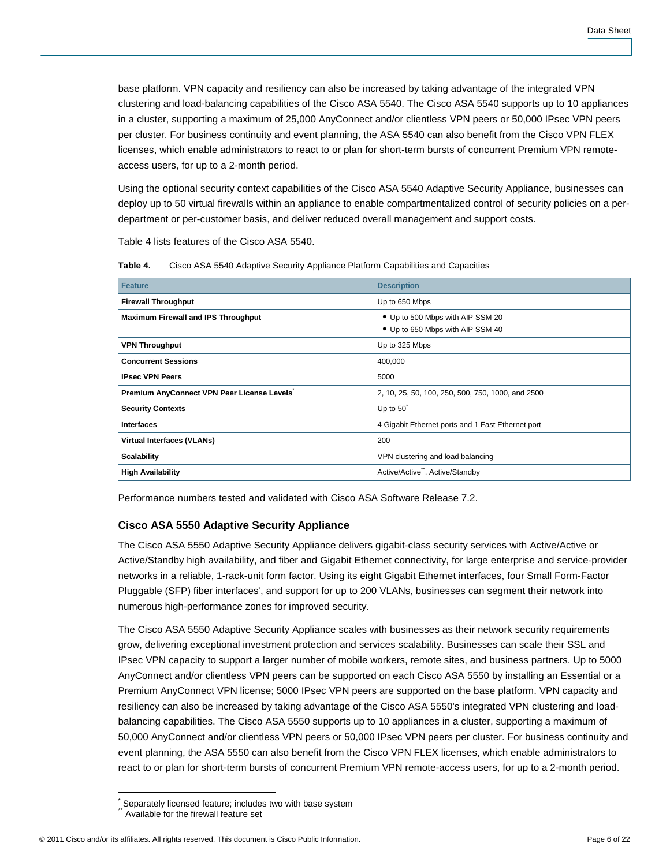base platform. VPN capacity and resiliency can also be increased by taking advantage of the integrated VPN clustering and load-balancing capabilities of the Cisco ASA 5540. The Cisco ASA 5540 supports up to 10 appliances in a cluster, supporting a maximum of 25,000 AnyConnect and/or clientless VPN peers or 50,000 IPsec VPN peers per cluster. For business continuity and event planning, the ASA 5540 can also benefit from the Cisco VPN FLEX licenses, which enable administrators to react to or plan for short-term bursts of concurrent Premium VPN remoteaccess users, for up to a 2-month period.

Using the optional security context capabilities of the Cisco ASA 5540 Adaptive Security Appliance, businesses can deploy up to 50 virtual firewalls within an appliance to enable compartmentalized control of security policies on a perdepartment or per-customer basis, and deliver reduced overall management and support costs.

Table 4 lists features of the Cisco ASA 5540.

| Table 4. |  |  | Cisco ASA 5540 Adaptive Security Appliance Platform Capabilities and Capacities |  |  |
|----------|--|--|---------------------------------------------------------------------------------|--|--|
|----------|--|--|---------------------------------------------------------------------------------|--|--|

| <b>Feature</b>                             | <b>Description</b>                                                   |  |
|--------------------------------------------|----------------------------------------------------------------------|--|
| <b>Firewall Throughput</b>                 | Up to 650 Mbps                                                       |  |
| <b>Maximum Firewall and IPS Throughput</b> | • Up to 500 Mbps with AIP SSM-20<br>• Up to 650 Mbps with AIP SSM-40 |  |
| <b>VPN Throughput</b>                      | Up to 325 Mbps                                                       |  |
| <b>Concurrent Sessions</b>                 | 400,000                                                              |  |
| <b>IPsec VPN Peers</b>                     | 5000                                                                 |  |
| Premium AnyConnect VPN Peer License Levels | 2, 10, 25, 50, 100, 250, 500, 750, 1000, and 2500                    |  |
| <b>Security Contexts</b>                   | Up to $50^{\degree}$                                                 |  |
| <b>Interfaces</b>                          | 4 Gigabit Ethernet ports and 1 Fast Ethernet port                    |  |
| <b>Virtual Interfaces (VLANs)</b>          | 200                                                                  |  |
| <b>Scalability</b>                         | VPN clustering and load balancing                                    |  |
| <b>High Availability</b>                   | Active/Active <sup>**</sup> , Active/Standby                         |  |

Performance numbers tested and validated with Cisco ASA Software Release 7.2.

#### **Cisco ASA 5550 Adaptive Security Appliance**

The Cisco ASA 5550 Adaptive Security Appliance delivers gigabit-class security services with Active/Active or Active/Standby high availability, and fiber and Gigabit Ethernet connectivity, for large enterprise and service-provider networks in a reliable, 1-rack-unit form factor. Using its eight Gigabit Ethernet interfaces, four Small Form-Factor Pluggable (SFP) fiber interfaces', and support for up to 200 VLANs, businesses can segment their network into numerous high-performance zones for improved security.

The Cisco ASA 5550 Adaptive Security Appliance scales with businesses as their network security requirements grow, delivering exceptional investment protection and services scalability. Businesses can scale their SSL and IPsec VPN capacity to support a larger number of mobile workers, remote sites, and business partners. Up to 5000 AnyConnect and/or clientless VPN peers can be supported on each Cisco ASA 5550 by installing an Essential or a Premium AnyConnect VPN license; 5000 IPsec VPN peers are supported on the base platform. VPN capacity and resiliency can also be increased by taking advantage of the Cisco ASA 5550's integrated VPN clustering and loadbalancing capabilities. The Cisco ASA 5550 supports up to 10 appliances in a cluster, supporting a maximum of 50,000 AnyConnect and/or clientless VPN peers or 50,000 IPsec VPN peers per cluster. For business continuity and event planning, the ASA 5550 can also benefit from the Cisco VPN FLEX licenses, which enable administrators to react to or plan for short-term bursts of concurrent Premium VPN remote-access users, for up to a 2-month period.

 $\overline{1}$ \* Separately licensed feature; includes two with base system Available for the firewall feature set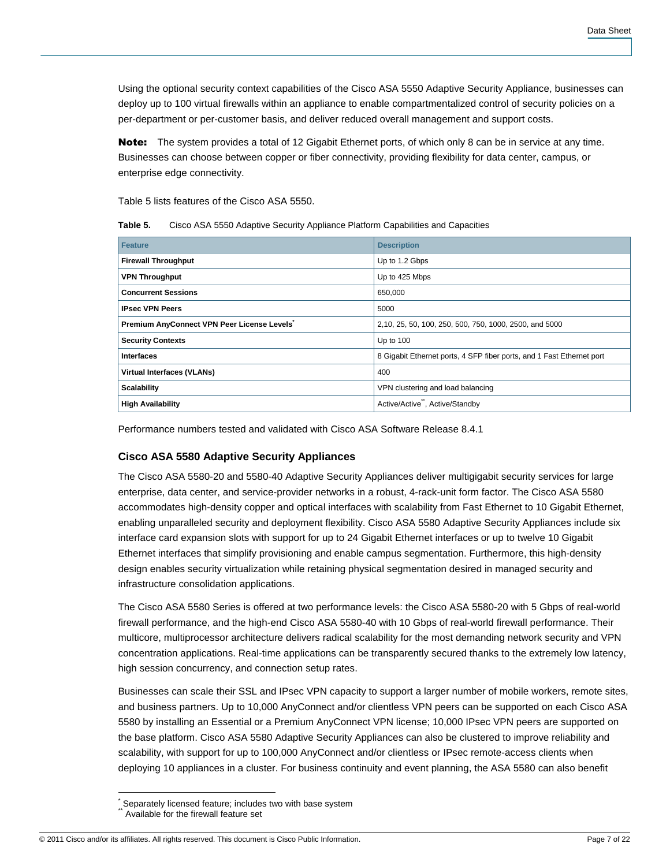Using the optional security context capabilities of the Cisco ASA 5550 Adaptive Security Appliance, businesses can deploy up to 100 virtual firewalls within an appliance to enable compartmentalized control of security policies on a per-department or per-customer basis, and deliver reduced overall management and support costs.

Note: The system provides a total of 12 Gigabit Ethernet ports, of which only 8 can be in service at any time. Businesses can choose between copper or fiber connectivity, providing flexibility for data center, campus, or enterprise edge connectivity.

Table 5 lists features of the Cisco ASA 5550.

**Table 5.** Cisco ASA 5550 Adaptive Security Appliance Platform Capabilities and Capacities

| <b>Feature</b>                                          | <b>Description</b>                                                    |
|---------------------------------------------------------|-----------------------------------------------------------------------|
| <b>Firewall Throughput</b>                              | Up to 1.2 Gbps                                                        |
| <b>VPN Throughput</b>                                   | Up to 425 Mbps                                                        |
| <b>Concurrent Sessions</b>                              | 650,000                                                               |
| <b>IPsec VPN Peers</b>                                  | 5000                                                                  |
| Premium AnyConnect VPN Peer License Levels <sup>*</sup> | 2,10, 25, 50, 100, 250, 500, 750, 1000, 2500, and 5000                |
| <b>Security Contexts</b>                                | Up to $100$                                                           |
| <b>Interfaces</b>                                       | 8 Gigabit Ethernet ports, 4 SFP fiber ports, and 1 Fast Ethernet port |
| <b>Virtual Interfaces (VLANs)</b>                       | 400                                                                   |
| <b>Scalability</b>                                      | VPN clustering and load balancing                                     |
| <b>High Availability</b>                                | Active/Active <sup>"</sup> , Active/Standby                           |

Performance numbers tested and validated with Cisco ASA Software Release 8.4.1

# **Cisco ASA 5580 Adaptive Security Appliances**

The Cisco ASA 5580-20 and 5580-40 Adaptive Security Appliances deliver multigigabit security services for large enterprise, data center, and service-provider networks in a robust, 4-rack-unit form factor. The Cisco ASA 5580 accommodates high-density copper and optical interfaces with scalability from Fast Ethernet to 10 Gigabit Ethernet, enabling unparalleled security and deployment flexibility. Cisco ASA 5580 Adaptive Security Appliances include six interface card expansion slots with support for up to 24 Gigabit Ethernet interfaces or up to twelve 10 Gigabit Ethernet interfaces that simplify provisioning and enable campus segmentation. Furthermore, this high-density design enables security virtualization while retaining physical segmentation desired in managed security and infrastructure consolidation applications.

The Cisco ASA 5580 Series is offered at two performance levels: the Cisco ASA 5580-20 with 5 Gbps of real-world firewall performance, and the high-end Cisco ASA 5580-40 with 10 Gbps of real-world firewall performance. Their multicore, multiprocessor architecture delivers radical scalability for the most demanding network security and VPN concentration applications. Real-time applications can be transparently secured thanks to the extremely low latency, high session concurrency, and connection setup rates.

Businesses can scale their SSL and IPsec VPN capacity to support a larger number of mobile workers, remote sites, and business partners. Up to 10,000 AnyConnect and/or clientless VPN peers can be supported on each Cisco ASA 5580 by installing an Essential or a Premium AnyConnect VPN license; 10,000 IPsec VPN peers are supported on the base platform. Cisco ASA 5580 Adaptive Security Appliances can also be clustered to improve reliability and scalability, with support for up to 100,000 AnyConnect and/or clientless or IPsec remote-access clients when deploying 10 appliances in a cluster. For business continuity and event planning, the ASA 5580 can also benefit

 $\overline{1}$ \* Separately licensed feature; includes two with base system Available for the firewall feature set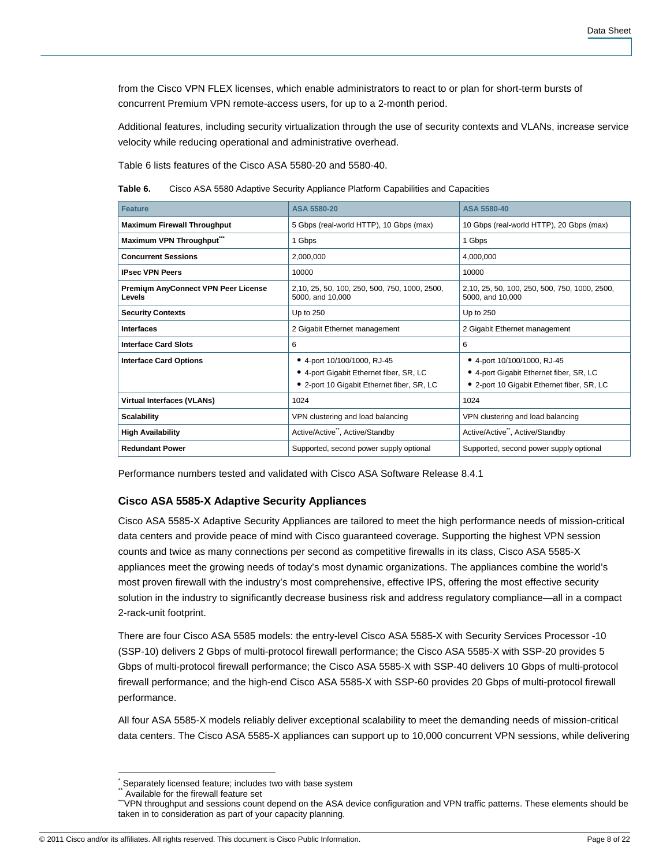from the Cisco VPN FLEX licenses, which enable administrators to react to or plan for short-term bursts of concurrent Premium VPN remote-access users, for up to a 2-month period.

Additional features, including security virtualization through the use of security contexts and VLANs, increase service velocity while reducing operational and administrative overhead.

Table 6 lists features of the Cisco ASA 5580-20 and 5580-40.

**Table 6.** Cisco ASA 5580 Adaptive Security Appliance Platform Capabilities and Capacities

| <b>Feature</b>                                | ASA 5580-20                                                                                                          | <b>ASA 5580-40</b>                                                                                                   |
|-----------------------------------------------|----------------------------------------------------------------------------------------------------------------------|----------------------------------------------------------------------------------------------------------------------|
| <b>Maximum Firewall Throughput</b>            | 5 Gbps (real-world HTTP), 10 Gbps (max)                                                                              | 10 Gbps (real-world HTTP), 20 Gbps (max)                                                                             |
| Maximum VPN Throughput                        | 1 Gbps                                                                                                               | 1 Gbps                                                                                                               |
| <b>Concurrent Sessions</b>                    | 2,000,000                                                                                                            | 4,000,000                                                                                                            |
| <b>IPsec VPN Peers</b>                        | 10000                                                                                                                | 10000                                                                                                                |
| Premium AnyConnect VPN Peer License<br>Levels | 2,10, 25, 50, 100, 250, 500, 750, 1000, 2500,<br>5000, and 10,000                                                    | 2,10, 25, 50, 100, 250, 500, 750, 1000, 2500,<br>5000, and 10,000                                                    |
| <b>Security Contexts</b>                      | Up to 250                                                                                                            | Up to 250                                                                                                            |
| <b>Interfaces</b>                             | 2 Gigabit Ethernet management                                                                                        | 2 Gigabit Ethernet management                                                                                        |
| <b>Interface Card Slots</b>                   | 6                                                                                                                    | 6                                                                                                                    |
| <b>Interface Card Options</b>                 | • 4-port 10/100/1000, RJ-45<br>• 4-port Gigabit Ethernet fiber, SR, LC<br>• 2-port 10 Gigabit Ethernet fiber, SR, LC | • 4-port 10/100/1000, RJ-45<br>• 4-port Gigabit Ethernet fiber, SR, LC<br>• 2-port 10 Gigabit Ethernet fiber, SR, LC |
| <b>Virtual Interfaces (VLANs)</b>             | 1024                                                                                                                 | 1024                                                                                                                 |
| <b>Scalability</b>                            | VPN clustering and load balancing                                                                                    | VPN clustering and load balancing                                                                                    |
| <b>High Availability</b>                      | Active/Active <sup>**</sup> , Active/Standby                                                                         | Active/Active <sup>**</sup> , Active/Standby                                                                         |
| <b>Redundant Power</b>                        | Supported, second power supply optional                                                                              | Supported, second power supply optional                                                                              |

Performance numbers tested and validated with Cisco ASA Software Release 8.4.1

#### **Cisco ASA 5585-X Adaptive Security Appliances**

Cisco ASA 5585-X Adaptive Security Appliances are tailored to meet the high performance needs of mission-critical data centers and provide peace of mind with Cisco guaranteed coverage. Supporting the highest VPN session counts and twice as many connections per second as competitive firewalls in its class, Cisco ASA 5585-X appliances meet the growing needs of today's most dynamic organizations. The appliances combine the world's most proven firewall with the industry's most comprehensive, effective IPS, offering the most effective security solution in the industry to significantly decrease business risk and address regulatory compliance—all in a compact 2-rack-unit footprint.

There are four Cisco ASA 5585 models: the entry-level Cisco ASA 5585-X with Security Services Processor -10 (SSP-10) delivers 2 Gbps of multi-protocol firewall performance; the Cisco ASA 5585-X with SSP-20 provides 5 Gbps of multi-protocol firewall performance; the Cisco ASA 5585-X with SSP-40 delivers 10 Gbps of multi-protocol firewall performance; and the high-end Cisco ASA 5585-X with SSP-60 provides 20 Gbps of multi-protocol firewall performance.

All four ASA 5585-X models reliably deliver exceptional scalability to meet the demanding needs of mission-critical data centers. The Cisco ASA 5585-X appliances can support up to 10,000 concurrent VPN sessions, while delivering

 $\overline{\phantom{a}}$ 

© 2011 Cisco and/or its affiliates. All rights reserved. This document is Cisco Public Information. Page 8 of 22

<sup>\*</sup> Separately licensed feature; includes two with base system

Available for the firewall feature set

<sup>\*</sup>VPN throughput and sessions count depend on the ASA device configuration and VPN traffic patterns. These elements should be taken in to consideration as part of your capacity planning.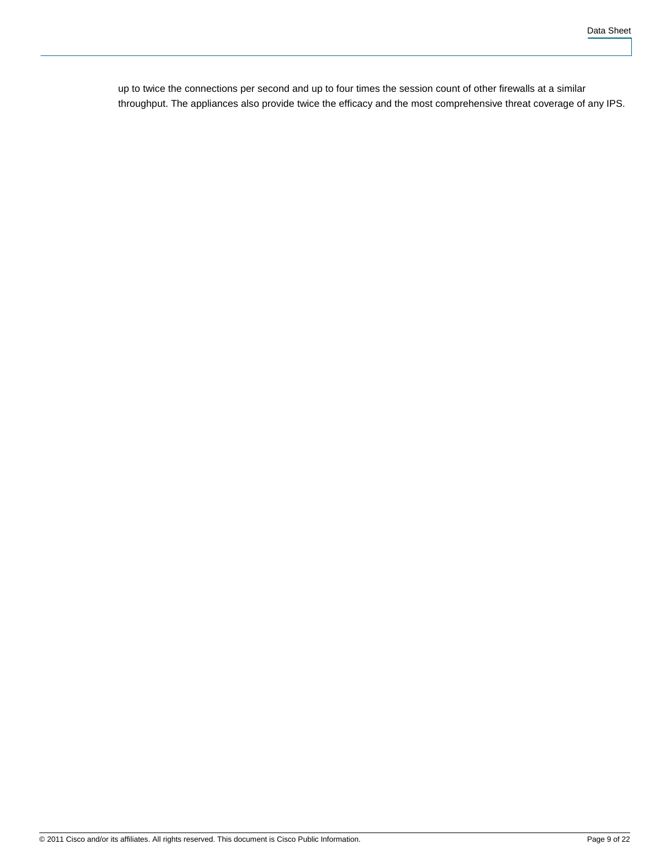up to twice the connections per second and up to four times the session count of other firewalls at a similar throughput. The appliances also provide twice the efficacy and the most comprehensive threat coverage of any IPS.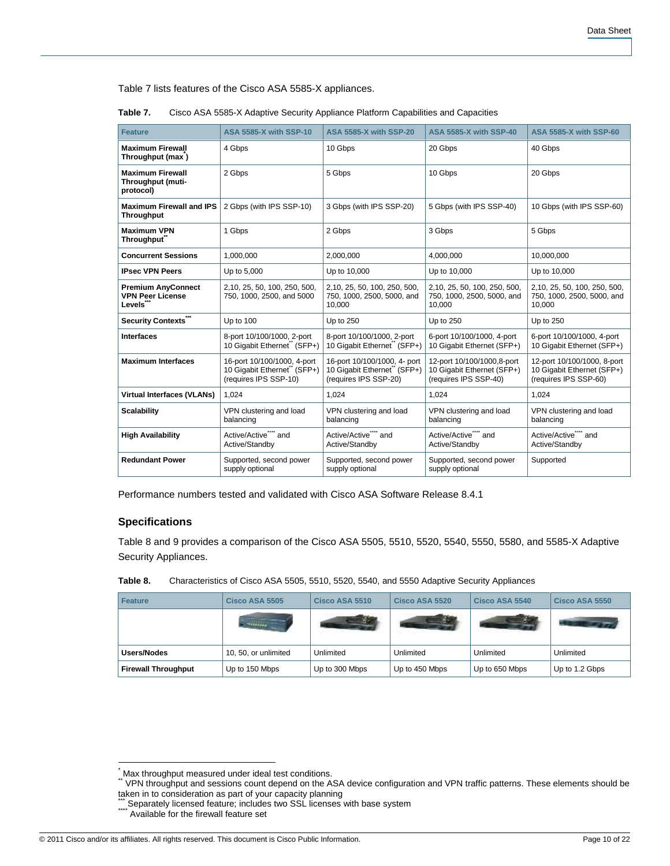Table 7 lists features of the Cisco ASA 5585-X appliances.

| <b>Feature</b>                                                              | <b>ASA 5585-X with SSP-10</b>                                                       | <b>ASA 5585-X with SSP-20</b>                                                        | <b>ASA 5585-X with SSP-40</b>                                                     | <b>ASA 5585-X with SSP-60</b>                                                      |
|-----------------------------------------------------------------------------|-------------------------------------------------------------------------------------|--------------------------------------------------------------------------------------|-----------------------------------------------------------------------------------|------------------------------------------------------------------------------------|
|                                                                             |                                                                                     |                                                                                      |                                                                                   |                                                                                    |
| <b>Maximum Firewall</b><br>Throughput (max)                                 | 4 Gbps                                                                              | 10 Gbps                                                                              | 20 Gbps                                                                           | 40 Gbps                                                                            |
| <b>Maximum Firewall</b><br>Throughput (muti-<br>protocol)                   | 2 Gbps                                                                              | 5 Gbps                                                                               | 10 Gbps                                                                           | 20 Gbps                                                                            |
| <b>Maximum Firewall and IPS</b><br><b>Throughput</b>                        | 2 Gbps (with IPS SSP-10)                                                            | 3 Gbps (with IPS SSP-20)                                                             | 5 Gbps (with IPS SSP-40)                                                          | 10 Gbps (with IPS SSP-60)                                                          |
| <b>Maximum VPN</b><br>Throughput <sup>®</sup>                               | 1 Gbps                                                                              | 2 Gbps                                                                               | 3 Gbps                                                                            | 5 Gbps                                                                             |
| <b>Concurrent Sessions</b>                                                  | 1.000.000                                                                           | 2.000.000                                                                            | 4.000.000                                                                         | 10.000.000                                                                         |
| <b>IPsec VPN Peers</b>                                                      | Up to 5,000                                                                         | Up to 10,000                                                                         | Up to 10,000                                                                      | Up to 10,000                                                                       |
| <b>Premium AnyConnect</b><br><b>VPN Peer License</b><br>Levels <sup>*</sup> | 2,10, 25, 50, 100, 250, 500,<br>750, 1000, 2500, and 5000                           | 2,10, 25, 50, 100, 250, 500,<br>750, 1000, 2500, 5000, and<br>10,000                 | 2,10, 25, 50, 100, 250, 500,<br>750, 1000, 2500, 5000, and<br>10,000              | 2,10, 25, 50, 100, 250, 500,<br>750, 1000, 2500, 5000, and<br>10,000               |
| Security Contexts""                                                         | Up to 100                                                                           | Up to 250                                                                            | Up to 250                                                                         | Up to 250                                                                          |
| <b>Interfaces</b>                                                           | 8-port 10/100/1000, 2-port<br>10 Gigabit Ethernet" (SFP+)                           | 8-port 10/100/1000, 2-port<br>10 Gigabit Ethernet" (SFP+)                            | 6-port 10/100/1000, 4-port<br>10 Gigabit Ethernet (SFP+)                          | 6-port 10/100/1000, 4-port<br>10 Gigabit Ethernet (SFP+)                           |
| <b>Maximum Interfaces</b>                                                   | 16-port 10/100/1000, 4-port<br>10 Gigabit Ethernet" (SFP+)<br>(requires IPS SSP-10) | 16-port 10/100/1000, 4- port<br>10 Gigabit Ethernet" (SFP+)<br>(requires IPS SSP-20) | 12-port 10/100/1000,8-port<br>10 Gigabit Ethernet (SFP+)<br>(requires IPS SSP-40) | 12-port 10/100/1000, 8-port<br>10 Gigabit Ethernet (SFP+)<br>(requires IPS SSP-60) |
| <b>Virtual Interfaces (VLANs)</b>                                           | 1.024                                                                               | 1.024                                                                                | 1.024                                                                             | 1.024                                                                              |
| <b>Scalability</b>                                                          | VPN clustering and load<br>balancing                                                | VPN clustering and load<br>balancing                                                 | VPN clustering and load<br>balancing                                              | VPN clustering and load<br>balancing                                               |
| <b>High Availability</b>                                                    | Active/Active <sup>""</sup> and<br>Active/Standbv                                   | Active/Active"" and<br>Active/Standby                                                | Active/Active <sup>""</sup> and<br>Active/Standby                                 | Active/Active <sup>""</sup> and<br>Active/Standbv                                  |
| <b>Redundant Power</b>                                                      | Supported, second power<br>supply optional                                          | Supported, second power<br>supply optional                                           | Supported, second power<br>supply optional                                        | Supported                                                                          |

| Table 7. | Cisco ASA 5585-X Adaptive Security Appliance Platform Capabilities and Capacities |
|----------|-----------------------------------------------------------------------------------|
|----------|-----------------------------------------------------------------------------------|

Performance numbers tested and validated with Cisco ASA Software Release 8.4.1

# **Specifications**

Table 8 and 9 provides a comparison of the Cisco ASA 5505, 5510, 5520, 5540, 5550, 5580, and 5585-X Adaptive Security Appliances.

| <b>Feature</b>             | Cisco ASA 5505       | Cisco ASA 5510 | Cisco ASA 5520 | Cisco ASA 5540 | Cisco ASA 5550 |
|----------------------------|----------------------|----------------|----------------|----------------|----------------|
|                            | <b>Change</b>        |                |                |                |                |
| Users/Nodes                | 10, 50, or unlimited | Unlimited      | Unlimited      | Unlimited      | Unlimited      |
| <b>Firewall Throughput</b> | Up to 150 Mbps       | Up to 300 Mbps | Up to 450 Mbps | Up to 650 Mbps | Up to 1.2 Gbps |

#### **Table 8.** Characteristics of Cisco ASA 5505, 5510, 5520, 5540, and 5550 Adaptive Security Appliances

<sup>\*&</sup>lt;br>\* Max throughput measured under ideal test conditions.<br>\*\* VPN throughput and sessions count depend on the ASA device configuration and VPN traffic patterns. These elements should be taken in to consideration as part of your capacity planning<br>.... Separately licensed feature; includes two SSL licenses with base system

<sup>\*\*\*\*</sup> Available for the firewall feature set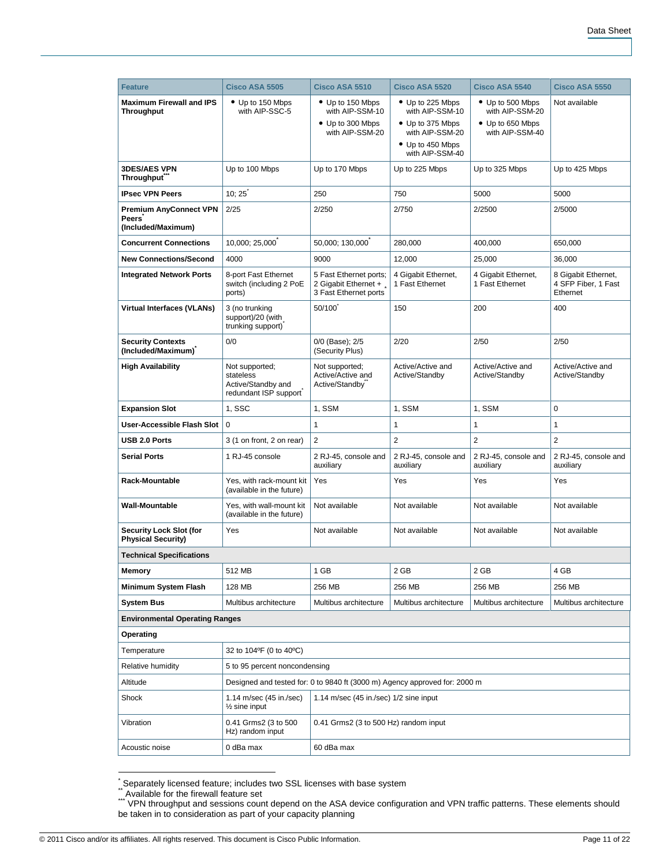| <b>Feature</b>                                               | Cisco ASA 5505                                                             | Cisco ASA 5510                                                             | Cisco ASA 5520                                                                                                    | Cisco ASA 5540                                                             | Cisco ASA 5550                                         |  |
|--------------------------------------------------------------|----------------------------------------------------------------------------|----------------------------------------------------------------------------|-------------------------------------------------------------------------------------------------------------------|----------------------------------------------------------------------------|--------------------------------------------------------|--|
| <b>Maximum Firewall and IPS</b><br><b>Throughput</b>         | • Up to 150 Mbps<br>with AIP-SSC-5                                         | • Up to 150 Mbps<br>with AIP-SSM-10<br>• Up to 300 Mbps<br>with AIP-SSM-20 | • Up to 225 Mbps<br>with AIP-SSM-10<br>• Up to 375 Mbps<br>with AIP-SSM-20<br>• Up to 450 Mbps<br>with AIP-SSM-40 | • Up to 500 Mbps<br>with AIP-SSM-20<br>• Up to 650 Mbps<br>with AIP-SSM-40 | Not available                                          |  |
| <b>3DES/AES VPN</b><br><b>Throughput</b>                     | Up to 100 Mbps                                                             | Up to 170 Mbps                                                             | Up to 225 Mbps                                                                                                    | Up to 325 Mbps                                                             | Up to 425 Mbps                                         |  |
| <b>IPsec VPN Peers</b>                                       | 10:25                                                                      | 250<br>750                                                                 |                                                                                                                   | 5000                                                                       | 5000                                                   |  |
| <b>Premium AnyConnect VPN</b><br>Peers<br>(Included/Maximum) | 2/25                                                                       | 2/250                                                                      | 2/750<br>2/2500                                                                                                   |                                                                            | 2/5000                                                 |  |
| <b>Concurrent Connections</b>                                | 10,000; 25,000                                                             | 50,000; 130,000                                                            | 280,000                                                                                                           | 400,000                                                                    | 650,000                                                |  |
| <b>New Connections/Second</b>                                | 4000                                                                       | 9000                                                                       | 12,000                                                                                                            | 25,000                                                                     | 36,000                                                 |  |
| <b>Integrated Network Ports</b>                              | 8-port Fast Ethernet<br>switch (including 2 PoE<br>ports)                  | 5 Fast Ethernet ports;<br>2 Gigabit Ethernet +<br>3 Fast Ethernet ports    | 4 Gigabit Ethernet,<br>1 Fast Ethernet                                                                            | 4 Gigabit Ethernet,<br>1 Fast Ethernet                                     | 8 Gigabit Ethernet,<br>4 SFP Fiber, 1 Fast<br>Ethernet |  |
| <b>Virtual Interfaces (VLANs)</b>                            | 3 (no trunking<br>support)/20 (with<br>trunking support)                   | 50/100                                                                     | 150                                                                                                               | 200                                                                        |                                                        |  |
| <b>Security Contexts</b><br>(Included/Maximum)               | 0/0                                                                        | 0/0 (Base); 2/5<br>(Security Plus)                                         | 2/20                                                                                                              | 2/50                                                                       | 2/50                                                   |  |
| <b>High Availability</b>                                     | Not supported;<br>stateless<br>Active/Standby and<br>redundant ISP support | Not supported;<br>Active/Active and<br>Active/Standby                      | Active/Active and<br>Active/Standby                                                                               | Active/Active and<br>Active/Standby                                        | Active/Active and<br>Active/Standby                    |  |
| <b>Expansion Slot</b>                                        | 1, SSC                                                                     | 1, SSM                                                                     | 1, SSM                                                                                                            | 1, SSM                                                                     | 0                                                      |  |
| <b>User-Accessible Flash Slot</b>                            | $\mathbf 0$                                                                | 1                                                                          | 1                                                                                                                 | 1                                                                          | $\mathbf{1}$                                           |  |
| USB 2.0 Ports                                                | 3 (1 on front, 2 on rear)                                                  | $\overline{2}$                                                             | $\overline{2}$                                                                                                    | $\overline{2}$                                                             | $\overline{2}$                                         |  |
| <b>Serial Ports</b>                                          | 1 RJ-45 console                                                            | 2 RJ-45, console and<br>auxiliary                                          | 2 RJ-45, console and<br>auxiliary                                                                                 | 2 RJ-45, console and<br>auxiliary                                          | 2 RJ-45, console and<br>auxiliary                      |  |
| <b>Rack-Mountable</b>                                        | Yes, with rack-mount kit<br>(available in the future)                      | Yes                                                                        | Yes                                                                                                               | Yes                                                                        | Yes                                                    |  |
| <b>Wall-Mountable</b>                                        | Yes, with wall-mount kit<br>(available in the future)                      | Not available                                                              | Not available                                                                                                     | Not available                                                              | Not available                                          |  |
| <b>Security Lock Slot (for</b><br><b>Physical Security)</b>  | Yes                                                                        | Not available                                                              | Not available                                                                                                     | Not available                                                              | Not available                                          |  |
| <b>Technical Specifications</b>                              |                                                                            |                                                                            |                                                                                                                   |                                                                            |                                                        |  |
| Memory                                                       | 512 MB                                                                     | 1 GB                                                                       | 2 GB                                                                                                              | 2 GB                                                                       | 4 GB                                                   |  |
| Minimum System Flash                                         | 128 MB                                                                     | 256 MB                                                                     | 256 MB                                                                                                            | 256 MB                                                                     | 256 MB                                                 |  |
| System Bus                                                   | Multibus architecture                                                      | Multibus architecture                                                      | Multibus architecture                                                                                             | Multibus architecture                                                      | Multibus architecture                                  |  |
| <b>Environmental Operating Ranges</b>                        |                                                                            |                                                                            |                                                                                                                   |                                                                            |                                                        |  |
| Operating                                                    |                                                                            |                                                                            |                                                                                                                   |                                                                            |                                                        |  |
| Temperature                                                  | 32 to 104°F (0 to 40°C)                                                    |                                                                            |                                                                                                                   |                                                                            |                                                        |  |
| Relative humidity                                            | 5 to 95 percent noncondensing                                              |                                                                            |                                                                                                                   |                                                                            |                                                        |  |
| Altitude                                                     | Designed and tested for: 0 to 9840 ft (3000 m) Agency approved for: 2000 m |                                                                            |                                                                                                                   |                                                                            |                                                        |  |
| Shock                                                        | 1.14 m/sec (45 in./sec)<br>$\frac{1}{2}$ sine input                        | 1.14 m/sec (45 in./sec) 1/2 sine input                                     |                                                                                                                   |                                                                            |                                                        |  |
| Vibration                                                    | 0.41 Grms2 (3 to 500<br>Hz) random input                                   | 0.41 Grms2 (3 to 500 Hz) random input                                      |                                                                                                                   |                                                                            |                                                        |  |
| Acoustic noise                                               | 0 dBa max                                                                  | 60 dBa max                                                                 |                                                                                                                   |                                                                            |                                                        |  |

<sup>&</sup>lt;u>.</u><br>`Separately licensed feature; includes two SSL licenses with base system<br>``Available for the firewall feature set

<sup>\*\*\*</sup> VPN throughput and sessions count depend on the ASA device configuration and VPN traffic patterns. These elements should be taken in to consideration as part of your capacity planning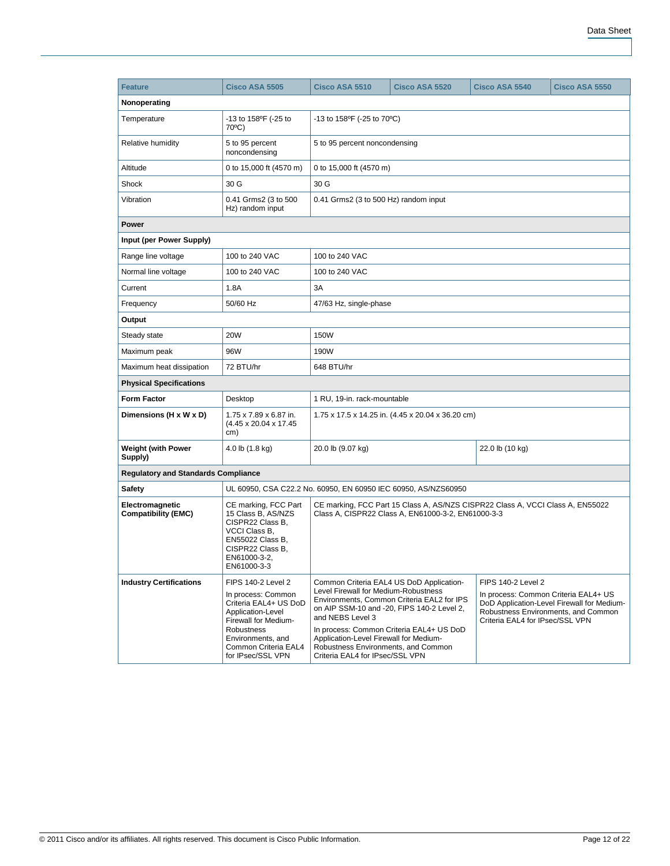| <b>Feature</b>                                | Cisco ASA 5505                                                                                                                                                                                        | Cisco ASA 5510                                                                                                                                                                                                           | Cisco ASA 5520                                                                                                                       | Cisco ASA 5540                                                                                       | Cisco ASA 5550                                                                    |  |  |  |
|-----------------------------------------------|-------------------------------------------------------------------------------------------------------------------------------------------------------------------------------------------------------|--------------------------------------------------------------------------------------------------------------------------------------------------------------------------------------------------------------------------|--------------------------------------------------------------------------------------------------------------------------------------|------------------------------------------------------------------------------------------------------|-----------------------------------------------------------------------------------|--|--|--|
| Nonoperating                                  |                                                                                                                                                                                                       |                                                                                                                                                                                                                          |                                                                                                                                      |                                                                                                      |                                                                                   |  |  |  |
| Temperature                                   | $-13$ to $158^{\circ}F$ ( $-25$ to<br>$70^{\circ}$ C)                                                                                                                                                 | -13 to 158°F (-25 to 70°C)                                                                                                                                                                                               |                                                                                                                                      |                                                                                                      |                                                                                   |  |  |  |
| Relative humidity                             | 5 to 95 percent<br>noncondensing                                                                                                                                                                      | 5 to 95 percent noncondensing                                                                                                                                                                                            |                                                                                                                                      |                                                                                                      |                                                                                   |  |  |  |
| Altitude                                      | 0 to 15,000 ft (4570 m)                                                                                                                                                                               | 0 to 15,000 ft (4570 m)                                                                                                                                                                                                  |                                                                                                                                      |                                                                                                      |                                                                                   |  |  |  |
| Shock                                         | 30 G                                                                                                                                                                                                  | 30 G                                                                                                                                                                                                                     |                                                                                                                                      |                                                                                                      |                                                                                   |  |  |  |
| Vibration                                     | 0.41 Grms2 (3 to 500<br>Hz) random input                                                                                                                                                              | 0.41 Grms2 (3 to 500 Hz) random input                                                                                                                                                                                    |                                                                                                                                      |                                                                                                      |                                                                                   |  |  |  |
| Power                                         |                                                                                                                                                                                                       |                                                                                                                                                                                                                          |                                                                                                                                      |                                                                                                      |                                                                                   |  |  |  |
| Input (per Power Supply)                      |                                                                                                                                                                                                       |                                                                                                                                                                                                                          |                                                                                                                                      |                                                                                                      |                                                                                   |  |  |  |
| Range line voltage                            | 100 to 240 VAC                                                                                                                                                                                        | 100 to 240 VAC                                                                                                                                                                                                           |                                                                                                                                      |                                                                                                      |                                                                                   |  |  |  |
| Normal line voltage                           | 100 to 240 VAC                                                                                                                                                                                        | 100 to 240 VAC                                                                                                                                                                                                           |                                                                                                                                      |                                                                                                      |                                                                                   |  |  |  |
| Current                                       | 1.8A                                                                                                                                                                                                  | 3A                                                                                                                                                                                                                       |                                                                                                                                      |                                                                                                      |                                                                                   |  |  |  |
| Frequency                                     | 50/60 Hz                                                                                                                                                                                              | 47/63 Hz, single-phase                                                                                                                                                                                                   |                                                                                                                                      |                                                                                                      |                                                                                   |  |  |  |
| Output                                        |                                                                                                                                                                                                       |                                                                                                                                                                                                                          |                                                                                                                                      |                                                                                                      |                                                                                   |  |  |  |
| Steady state                                  | <b>20W</b>                                                                                                                                                                                            | <b>150W</b>                                                                                                                                                                                                              |                                                                                                                                      |                                                                                                      |                                                                                   |  |  |  |
| Maximum peak                                  | 96W                                                                                                                                                                                                   | 190W                                                                                                                                                                                                                     |                                                                                                                                      |                                                                                                      |                                                                                   |  |  |  |
| Maximum heat dissipation                      | 72 BTU/hr                                                                                                                                                                                             | 648 BTU/hr                                                                                                                                                                                                               |                                                                                                                                      |                                                                                                      |                                                                                   |  |  |  |
| <b>Physical Specifications</b>                |                                                                                                                                                                                                       |                                                                                                                                                                                                                          |                                                                                                                                      |                                                                                                      |                                                                                   |  |  |  |
| <b>Form Factor</b>                            | Desktop                                                                                                                                                                                               | 1 RU, 19-in. rack-mountable                                                                                                                                                                                              |                                                                                                                                      |                                                                                                      |                                                                                   |  |  |  |
| Dimensions (H x W x D)                        | 1.75 x 7.89 x 6.87 in.<br>(4.45 x 20.04 x 17.45)<br>cm)                                                                                                                                               |                                                                                                                                                                                                                          | 1.75 x 17.5 x 14.25 in. (4.45 x 20.04 x 36.20 cm)                                                                                    |                                                                                                      |                                                                                   |  |  |  |
| <b>Weight (with Power</b><br>Supply)          | 4.0 lb (1.8 kg)                                                                                                                                                                                       | 20.0 lb (9.07 kg)                                                                                                                                                                                                        |                                                                                                                                      | 22.0 lb (10 kg)                                                                                      |                                                                                   |  |  |  |
| <b>Regulatory and Standards Compliance</b>    |                                                                                                                                                                                                       |                                                                                                                                                                                                                          |                                                                                                                                      |                                                                                                      |                                                                                   |  |  |  |
| <b>Safety</b>                                 | UL 60950, CSA C22.2 No. 60950, EN 60950 IEC 60950, AS/NZS60950                                                                                                                                        |                                                                                                                                                                                                                          |                                                                                                                                      |                                                                                                      |                                                                                   |  |  |  |
| Electromagnetic<br><b>Compatibility (EMC)</b> | CE marking, FCC Part<br>15 Class B. AS/NZS<br>CISPR22 Class B.<br>VCCI Class B.<br>EN55022 Class B,<br>CISPR22 Class B.<br>EN61000-3-2,<br>EN61000-3-3                                                | CE marking, FCC Part 15 Class A, AS/NZS CISPR22 Class A, VCCI Class A, EN55022<br>Class A, CISPR22 Class A, EN61000-3-2, EN61000-3-3                                                                                     |                                                                                                                                      |                                                                                                      |                                                                                   |  |  |  |
| <b>Industry Certifications</b>                | <b>FIPS 140-2 Level 2</b><br>In process: Common<br>Criteria EAL4+ US DoD<br>Application-Level<br>Firewall for Medium-<br>Robustness<br>Environments, and<br>Common Criteria EAL4<br>for IPsec/SSL VPN | Common Criteria EAL4 US DoD Application-<br>Level Firewall for Medium-Robustness<br>and NEBS Level 3<br>Application-Level Firewall for Medium-<br>Robustness Environments, and Common<br>Criteria EAL4 for IPsec/SSL VPN | Environments, Common Criteria EAL2 for IPS<br>on AIP SSM-10 and -20, FIPS 140-2 Level 2,<br>In process: Common Criteria EAL4+ US DoD | <b>FIPS 140-2 Level 2</b><br>In process: Common Criteria EAL4+ US<br>Criteria EAL4 for IPsec/SSL VPN | DoD Application-Level Firewall for Medium-<br>Robustness Environments, and Common |  |  |  |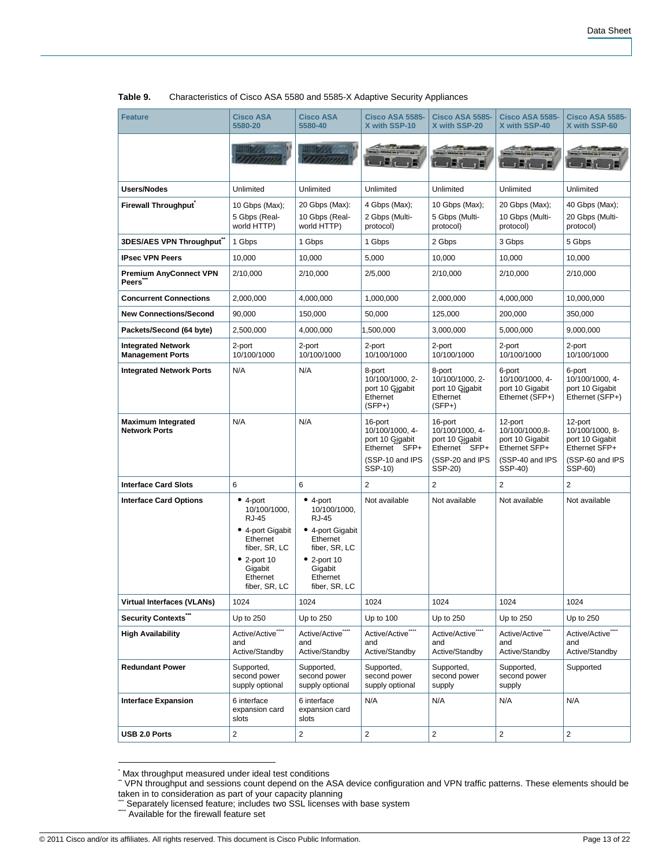| <b>Feature</b>                                       | <b>Cisco ASA</b><br>5580-20                                                                                                                            | <b>Cisco ASA</b><br>5580-40                                                                                                                    | <b>Cisco ASA 5585-</b><br>X with SSP-10                                                      | <b>Cisco ASA 5585-</b><br>X with SSP-20                                                      | <b>Cisco ASA 5585-</b><br>X with SSP-40                                                     | <b>Cisco ASA 5585-</b><br>X with SSP-60                                                      |
|------------------------------------------------------|--------------------------------------------------------------------------------------------------------------------------------------------------------|------------------------------------------------------------------------------------------------------------------------------------------------|----------------------------------------------------------------------------------------------|----------------------------------------------------------------------------------------------|---------------------------------------------------------------------------------------------|----------------------------------------------------------------------------------------------|
|                                                      |                                                                                                                                                        |                                                                                                                                                |                                                                                              | $\sim$ 1.5 $\sim$                                                                            |                                                                                             |                                                                                              |
| <b>Users/Nodes</b>                                   | Unlimited                                                                                                                                              | Unlimited                                                                                                                                      | Unlimited                                                                                    | Unlimited                                                                                    | Unlimited                                                                                   | Unlimited                                                                                    |
| <b>Firewall Throughput</b>                           | 10 Gbps (Max);<br>5 Gbps (Real-<br>world HTTP)                                                                                                         | 20 Gbps (Max):<br>10 Gbps (Real-<br>world HTTP)                                                                                                | 4 Gbps (Max);<br>2 Gbps (Multi-<br>protocol)                                                 | 10 Gbps (Max);<br>5 Gbps (Multi-<br>protocol)                                                | 20 Gbps (Max);<br>10 Gbps (Multi-<br>protocol)                                              | 40 Gbps (Max);<br>20 Gbps (Multi-<br>protocol)                                               |
| 3DES/AES VPN Throughput                              | 1 Gbps                                                                                                                                                 | 1 Gbps                                                                                                                                         | 1 Gbps                                                                                       | 2 Gbps                                                                                       | 3 Gbps                                                                                      | 5 Gbps                                                                                       |
| <b>IPsec VPN Peers</b>                               | 10.000                                                                                                                                                 | 10,000                                                                                                                                         | 5,000                                                                                        | 10,000                                                                                       | 10,000                                                                                      | 10,000                                                                                       |
| <b>Premium AnyConnect VPN</b><br><b>Peers</b>        | 2/10,000                                                                                                                                               | 2/10,000                                                                                                                                       | 2/5,000                                                                                      | 2/10,000                                                                                     | 2/10,000                                                                                    | 2/10,000                                                                                     |
| <b>Concurrent Connections</b>                        | 2,000,000                                                                                                                                              | 4,000,000                                                                                                                                      | 1,000,000                                                                                    | 2,000,000                                                                                    | 4,000,000                                                                                   | 10,000,000                                                                                   |
| <b>New Connections/Second</b>                        | 90,000                                                                                                                                                 | 150,000                                                                                                                                        | 50,000                                                                                       | 125,000                                                                                      | 200,000                                                                                     | 350,000                                                                                      |
| Packets/Second (64 byte)                             | 2,500,000                                                                                                                                              | 4,000,000                                                                                                                                      | 1,500,000                                                                                    | 3,000,000                                                                                    | 5,000,000                                                                                   | 9,000,000                                                                                    |
| <b>Integrated Network</b><br><b>Management Ports</b> | 2-port<br>10/100/1000                                                                                                                                  | 2-port<br>10/100/1000                                                                                                                          | 2-port<br>10/100/1000                                                                        | 2-port<br>10/100/1000                                                                        | 2-port<br>10/100/1000                                                                       | 2-port<br>10/100/1000                                                                        |
| <b>Integrated Network Ports</b>                      | N/A                                                                                                                                                    | N/A                                                                                                                                            | 8-port<br>10/100/1000, 2-<br>port 10 Gigabit<br>Ethernet<br>$(SFP+)$                         | 8-port<br>10/100/1000, 2-<br>port 10 Gigabit<br>Ethernet<br>$(SFP+)$                         | 6-port<br>10/100/1000, 4-<br>port 10 Gigabit<br>Ethernet (SFP+)                             | 6-port<br>10/100/1000, 4-<br>port 10 Gigabit<br>Ethernet (SFP+)                              |
| <b>Maximum Integrated</b><br><b>Network Ports</b>    | N/A                                                                                                                                                    | N/A                                                                                                                                            | 16-port<br>10/100/1000, 4-<br>port 10 Gigabit<br>Ethernet SFP+<br>(SSP-10 and IPS<br>SSP-10) | 16-port<br>10/100/1000, 4-<br>port 10 Gigabit<br>Ethernet SFP+<br>(SSP-20 and IPS<br>SSP-20) | 12-port<br>10/100/1000,8-<br>port 10 Gigabit<br>Ethernet SFP+<br>(SSP-40 and IPS<br>SSP-40) | 12-port<br>10/100/1000, 8-<br>port 10 Gigabit<br>Ethernet SFP+<br>(SSP-60 and IPS<br>SSP-60) |
| <b>Interface Card Slots</b>                          | 6                                                                                                                                                      | 6                                                                                                                                              | $\overline{2}$                                                                               | $\overline{2}$                                                                               | $\overline{2}$                                                                              | $\overline{2}$                                                                               |
| <b>Interface Card Options</b>                        | $• 4$ -port<br>10/100/1000,<br><b>RJ-45</b><br>• 4-port Gigabit<br>Ethernet<br>fiber, SR, LC<br>$• 2$ -port 10<br>Gigabit<br>Ethernet<br>fiber, SR, LC | $•$ 4-port<br>10/100/1000,<br>RJ-45<br>• 4-port Gigabit<br>Ethernet<br>fiber, SR, LC<br>$• 2$ -port 10<br>Gigabit<br>Ethernet<br>fiber, SR, LC | Not available                                                                                | Not available                                                                                | Not available                                                                               | Not available                                                                                |
| <b>Virtual Interfaces (VLANs)</b>                    | 1024                                                                                                                                                   | 1024                                                                                                                                           | 1024                                                                                         | 1024                                                                                         | 1024                                                                                        | 1024                                                                                         |
| Security Contexts"                                   | Up to 250                                                                                                                                              | Up to 250                                                                                                                                      | Up to 100                                                                                    | Up to 250                                                                                    | Up to 250                                                                                   | Up to 250                                                                                    |
| <b>High Availability</b>                             | Active/Active <sup>****</sup><br>and<br>Active/Standby                                                                                                 | Active/Active <sup>****</sup><br>and<br>Active/Standby                                                                                         | Active/Active <sup>****</sup><br>and<br>Active/Standby                                       | Active/Active <sup>****</sup><br>and<br>Active/Standby                                       | Active/Active <sup>****</sup><br>and<br>Active/Standby                                      | Active/Active <sup>****</sup><br>and<br>Active/Standby                                       |
| <b>Redundant Power</b>                               | Supported,<br>second power<br>supply optional                                                                                                          | Supported,<br>second power<br>supply optional                                                                                                  | Supported,<br>second power<br>supply optional                                                | Supported,<br>second power<br>supply                                                         | Supported,<br>second power<br>supply                                                        | Supported                                                                                    |
| <b>Interface Expansion</b>                           | 6 interface<br>expansion card<br>slots                                                                                                                 | 6 interface<br>expansion card<br>slots                                                                                                         | N/A                                                                                          | N/A                                                                                          | N/A                                                                                         | N/A                                                                                          |
| USB 2.0 Ports                                        | 2                                                                                                                                                      | 2                                                                                                                                              | $\overline{c}$                                                                               | $\overline{2}$                                                                               | 2                                                                                           | $\overline{2}$                                                                               |

#### **Table 9.** Characteristics of Cisco ASA 5580 and 5585-X Adaptive Security Appliances

<sup>\*&</sup>lt;br>Max throughput measured under ideal test conditions

<sup>\*\*</sup> VPN throughput and sessions count depend on the ASA device configuration and VPN traffic patterns. These elements should be taken in to consideration as part of your capacity planning

<sup>\*\*\*</sup> Separately licensed feature; includes two SSL licenses with base system

<sup>\*\*\*\*</sup> Available for the firewall feature set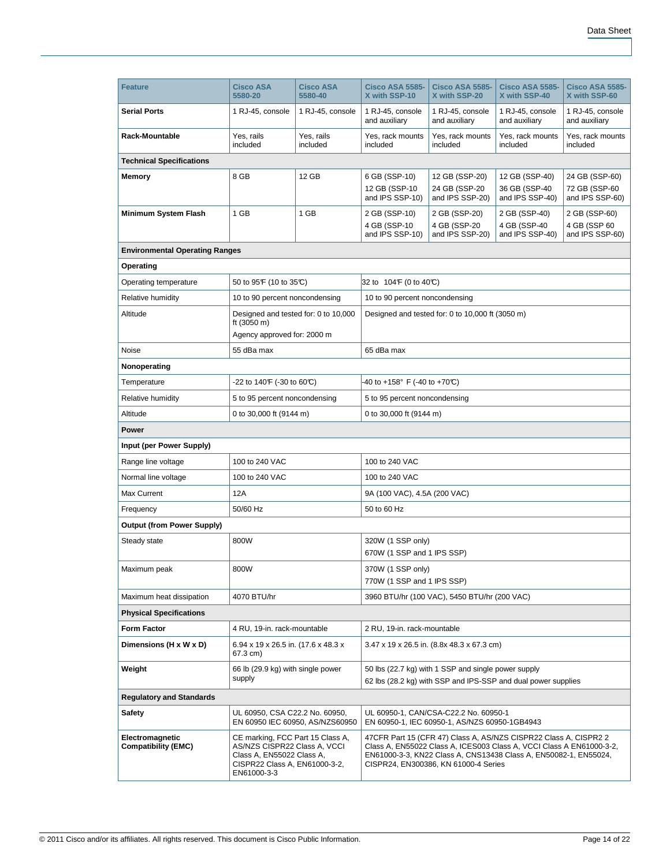| <b>Feature</b>                                | <b>Cisco ASA</b><br>5580-20                                                                                                                   | <b>Cisco ASA</b><br>5580-40     | Cisco ASA 5585-<br>X with SSP-10                                                                                                                                                                                                                                                                      | <b>Cisco ASA 5585-</b><br>X with SSP-20            | Cisco ASA 5585-<br>X with SSP-40                   | <b>Cisco ASA 5585-</b><br>X with SSP-60            |  |
|-----------------------------------------------|-----------------------------------------------------------------------------------------------------------------------------------------------|---------------------------------|-------------------------------------------------------------------------------------------------------------------------------------------------------------------------------------------------------------------------------------------------------------------------------------------------------|----------------------------------------------------|----------------------------------------------------|----------------------------------------------------|--|
| <b>Serial Ports</b>                           | 1 RJ-45, console                                                                                                                              | 1 RJ-45, console                | 1 RJ-45, console<br>and auxiliary                                                                                                                                                                                                                                                                     | 1 RJ-45, console<br>and auxiliary                  | 1 RJ-45, console<br>and auxiliary                  | 1 RJ-45, console<br>and auxiliary                  |  |
| Rack-Mountable                                | Yes, rails<br>included                                                                                                                        | Yes, rails<br>included          | Yes, rack mounts<br>included                                                                                                                                                                                                                                                                          | Yes, rack mounts<br>included                       | Yes, rack mounts<br>included                       | Yes, rack mounts<br>included                       |  |
| <b>Technical Specifications</b>               |                                                                                                                                               |                                 |                                                                                                                                                                                                                                                                                                       |                                                    |                                                    |                                                    |  |
| <b>Memory</b>                                 | 8 GB                                                                                                                                          | 12 GB                           | 6 GB (SSP-10)<br>12 GB (SSP-10<br>and IPS SSP-10)                                                                                                                                                                                                                                                     | 12 GB (SSP-20)<br>24 GB (SSP-20<br>and IPS SSP-20) | 12 GB (SSP-40)<br>36 GB (SSP-40<br>and IPS SSP-40) | 24 GB (SSP-60)<br>72 GB (SSP-60<br>and IPS SSP-60) |  |
| Minimum System Flash                          | 1 GB                                                                                                                                          | 1 GB                            | 2 GB (SSP-10)<br>4 GB (SSP-10<br>and IPS SSP-10)                                                                                                                                                                                                                                                      | 2 GB (SSP-20)<br>4 GB (SSP-20<br>and IPS SSP-20)   | 2 GB (SSP-40)<br>4 GB (SSP-40<br>and IPS SSP-40)   | 2 GB (SSP-60)<br>4 GB (SSP 60<br>and IPS SSP-60)   |  |
| <b>Environmental Operating Ranges</b>         |                                                                                                                                               |                                 |                                                                                                                                                                                                                                                                                                       |                                                    |                                                    |                                                    |  |
| Operating                                     |                                                                                                                                               |                                 |                                                                                                                                                                                                                                                                                                       |                                                    |                                                    |                                                    |  |
| Operating temperature                         | 50 to 95 F (10 to 35 °C)                                                                                                                      |                                 | 32 to 104 F (0 to 40 °C)                                                                                                                                                                                                                                                                              |                                                    |                                                    |                                                    |  |
| Relative humidity                             | 10 to 90 percent noncondensing                                                                                                                |                                 | 10 to 90 percent noncondensing                                                                                                                                                                                                                                                                        |                                                    |                                                    |                                                    |  |
| Altitude                                      | Designed and tested for: 0 to 10,000<br>ft (3050 m)<br>Agency approved for: 2000 m                                                            |                                 |                                                                                                                                                                                                                                                                                                       | Designed and tested for: 0 to 10,000 ft (3050 m)   |                                                    |                                                    |  |
| Noise                                         | 55 dBa max                                                                                                                                    |                                 | 65 dBa max                                                                                                                                                                                                                                                                                            |                                                    |                                                    |                                                    |  |
| Nonoperating                                  |                                                                                                                                               |                                 |                                                                                                                                                                                                                                                                                                       |                                                    |                                                    |                                                    |  |
| Temperature                                   | -22 to 140F (-30 to 60°C)                                                                                                                     |                                 | -40 to +158° F (-40 to +70℃)                                                                                                                                                                                                                                                                          |                                                    |                                                    |                                                    |  |
| Relative humidity                             | 5 to 95 percent noncondensing                                                                                                                 |                                 | 5 to 95 percent noncondensing                                                                                                                                                                                                                                                                         |                                                    |                                                    |                                                    |  |
| Altitude                                      | 0 to 30,000 ft (9144 m)                                                                                                                       |                                 | 0 to 30,000 ft (9144 m)                                                                                                                                                                                                                                                                               |                                                    |                                                    |                                                    |  |
| Power                                         |                                                                                                                                               |                                 |                                                                                                                                                                                                                                                                                                       |                                                    |                                                    |                                                    |  |
| Input (per Power Supply)                      |                                                                                                                                               |                                 |                                                                                                                                                                                                                                                                                                       |                                                    |                                                    |                                                    |  |
| Range line voltage                            | 100 to 240 VAC                                                                                                                                |                                 | 100 to 240 VAC                                                                                                                                                                                                                                                                                        |                                                    |                                                    |                                                    |  |
| Normal line voltage                           | 100 to 240 VAC                                                                                                                                |                                 | 100 to 240 VAC                                                                                                                                                                                                                                                                                        |                                                    |                                                    |                                                    |  |
| Max Current                                   | 12A                                                                                                                                           |                                 | 9A (100 VAC), 4.5A (200 VAC)                                                                                                                                                                                                                                                                          |                                                    |                                                    |                                                    |  |
| Frequency                                     | 50/60 Hz                                                                                                                                      |                                 | 50 to 60 Hz                                                                                                                                                                                                                                                                                           |                                                    |                                                    |                                                    |  |
| <b>Output (from Power Supply)</b>             |                                                                                                                                               |                                 |                                                                                                                                                                                                                                                                                                       |                                                    |                                                    |                                                    |  |
| Steady state                                  | 800W                                                                                                                                          |                                 | 320W (1 SSP only)                                                                                                                                                                                                                                                                                     |                                                    |                                                    |                                                    |  |
|                                               |                                                                                                                                               |                                 | 670W (1 SSP and 1 IPS SSP)                                                                                                                                                                                                                                                                            |                                                    |                                                    |                                                    |  |
| Maximum peak                                  | 800W                                                                                                                                          |                                 | 370W (1 SSP only)<br>770W (1 SSP and 1 IPS SSP)                                                                                                                                                                                                                                                       |                                                    |                                                    |                                                    |  |
| Maximum heat dissipation                      | 4070 BTU/hr                                                                                                                                   |                                 |                                                                                                                                                                                                                                                                                                       | 3960 BTU/hr (100 VAC), 5450 BTU/hr (200 VAC)       |                                                    |                                                    |  |
| <b>Physical Specifications</b>                |                                                                                                                                               |                                 |                                                                                                                                                                                                                                                                                                       |                                                    |                                                    |                                                    |  |
| <b>Form Factor</b>                            | 4 RU, 19-in. rack-mountable                                                                                                                   |                                 | 2 RU, 19-in. rack-mountable                                                                                                                                                                                                                                                                           |                                                    |                                                    |                                                    |  |
| Dimensions (H x W x D)                        | 6.94 x 19 x 26.5 in. (17.6 x 48.3 x<br>67.3 cm)                                                                                               |                                 | 3.47 x 19 x 26.5 in. (8.8x 48.3 x 67.3 cm)                                                                                                                                                                                                                                                            |                                                    |                                                    |                                                    |  |
| Weight                                        | 66 lb (29.9 kg) with single power<br>supply                                                                                                   |                                 | 50 lbs (22.7 kg) with 1 SSP and single power supply<br>62 lbs (28.2 kg) with SSP and IPS-SSP and dual power supplies                                                                                                                                                                                  |                                                    |                                                    |                                                    |  |
| <b>Regulatory and Standards</b>               |                                                                                                                                               |                                 |                                                                                                                                                                                                                                                                                                       |                                                    |                                                    |                                                    |  |
| <b>Safety</b>                                 | UL 60950, CSA C22.2 No. 60950,                                                                                                                | EN 60950 IEC 60950, AS/NZS60950 |                                                                                                                                                                                                                                                                                                       | UL 60950-1, CAN/CSA-C22.2 No. 60950-1              |                                                    |                                                    |  |
| Electromagnetic<br><b>Compatibility (EMC)</b> | CE marking, FCC Part 15 Class A,<br>AS/NZS CISPR22 Class A, VCCI<br>Class A, EN55022 Class A,<br>CISPR22 Class A, EN61000-3-2,<br>EN61000-3-3 |                                 | EN 60950-1, IEC 60950-1, AS/NZS 60950-1GB4943<br>47CFR Part 15 (CFR 47) Class A, AS/NZS CISPR22 Class A, CISPR2 2<br>Class A, EN55022 Class A, ICES003 Class A, VCCI Class A EN61000-3-2,<br>EN61000-3-3, KN22 Class A, CNS13438 Class A, EN50082-1, EN55024,<br>CISPR24, EN300386, KN 61000-4 Series |                                                    |                                                    |                                                    |  |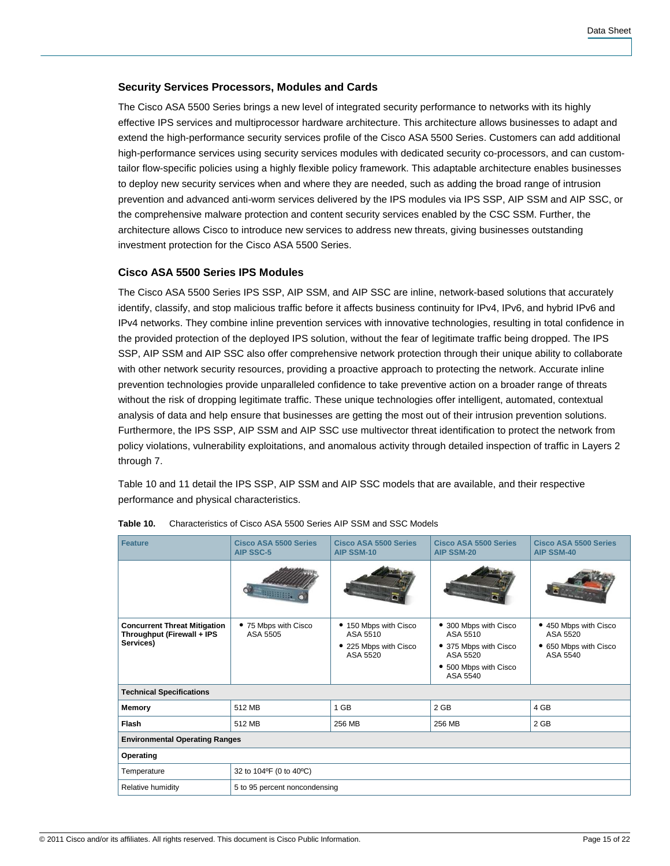# **Security Services Processors, Modules and Cards**

The Cisco ASA 5500 Series brings a new level of integrated security performance to networks with its highly effective IPS services and multiprocessor hardware architecture. This architecture allows businesses to adapt and extend the high-performance security services profile of the Cisco ASA 5500 Series. Customers can add additional high-performance services using security services modules with dedicated security co-processors, and can customtailor flow-specific policies using a highly flexible policy framework. This adaptable architecture enables businesses to deploy new security services when and where they are needed, such as adding the broad range of intrusion prevention and advanced anti-worm services delivered by the IPS modules via IPS SSP, AIP SSM and AIP SSC, or the comprehensive malware protection and content security services enabled by the CSC SSM. Further, the architecture allows Cisco to introduce new services to address new threats, giving businesses outstanding investment protection for the Cisco ASA 5500 Series.

# **Cisco ASA 5500 Series IPS Modules**

The Cisco ASA 5500 Series IPS SSP, AIP SSM, and AIP SSC are inline, network-based solutions that accurately identify, classify, and stop malicious traffic before it affects business continuity for IPv4, IPv6, and hybrid IPv6 and IPv4 networks. They combine inline prevention services with innovative technologies, resulting in total confidence in the provided protection of the deployed IPS solution, without the fear of legitimate traffic being dropped. The IPS SSP, AIP SSM and AIP SSC also offer comprehensive network protection through their unique ability to collaborate with other network security resources, providing a proactive approach to protecting the network. Accurate inline prevention technologies provide unparalleled confidence to take preventive action on a broader range of threats without the risk of dropping legitimate traffic. These unique technologies offer intelligent, automated, contextual analysis of data and help ensure that businesses are getting the most out of their intrusion prevention solutions. Furthermore, the IPS SSP, AIP SSM and AIP SSC use multivector threat identification to protect the network from policy violations, vulnerability exploitations, and anomalous activity through detailed inspection of traffic in Layers 2 through 7.

Table 10 and 11 detail the IPS SSP, AIP SSM and AIP SSC models that are available, and their respective performance and physical characteristics.

| <b>Feature</b>                                                                 | Cisco ASA 5500 Series<br><b>AIP SSC-5</b> | Cisco ASA 5500 Series<br>AIP SSM-10                                    | Cisco ASA 5500 Series<br><b>AIP SSM-20</b>                                                                  | Cisco ASA 5500 Series<br><b>AIP SSM-40</b>                             |  |  |  |
|--------------------------------------------------------------------------------|-------------------------------------------|------------------------------------------------------------------------|-------------------------------------------------------------------------------------------------------------|------------------------------------------------------------------------|--|--|--|
|                                                                                | <b>ARRIBBE</b>                            |                                                                        |                                                                                                             |                                                                        |  |  |  |
| <b>Concurrent Threat Mitigation</b><br>Throughput (Firewall + IPS<br>Services) | • 75 Mbps with Cisco<br>ASA 5505          | • 150 Mbps with Cisco<br>ASA 5510<br>• 225 Mbps with Cisco<br>ASA 5520 | • 300 Mbps with Cisco<br>ASA 5510<br>• 375 Mbps with Cisco<br>ASA 5520<br>• 500 Mbps with Cisco<br>ASA 5540 | • 450 Mbps with Cisco<br>ASA 5520<br>• 650 Mbps with Cisco<br>ASA 5540 |  |  |  |
| <b>Technical Specifications</b>                                                |                                           |                                                                        |                                                                                                             |                                                                        |  |  |  |
| Memory                                                                         | 512 MB                                    | 1 GB                                                                   | 2 GB                                                                                                        | 4 GB                                                                   |  |  |  |
| <b>Flash</b>                                                                   | 512 MB                                    | 256 MB                                                                 | 256 MB                                                                                                      | 2 GB                                                                   |  |  |  |
| <b>Environmental Operating Ranges</b>                                          |                                           |                                                                        |                                                                                                             |                                                                        |  |  |  |
| Operating                                                                      |                                           |                                                                        |                                                                                                             |                                                                        |  |  |  |
| Temperature                                                                    | 32 to 104°F (0 to 40°C)                   |                                                                        |                                                                                                             |                                                                        |  |  |  |
| Relative humidity                                                              | 5 to 95 percent noncondensing             |                                                                        |                                                                                                             |                                                                        |  |  |  |

| Table 10. | Characteristics of Cisco ASA 5500 Series AIP SSM and SSC Models |
|-----------|-----------------------------------------------------------------|
|-----------|-----------------------------------------------------------------|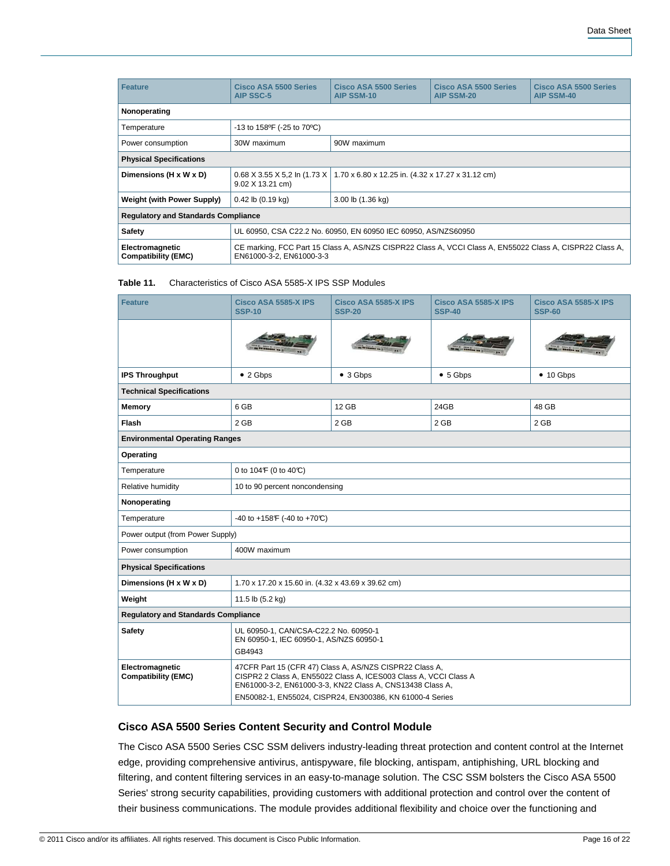| <b>Feature</b>                                | Cisco ASA 5500 Series<br><b>AIP SSC-5</b>                                                                                            | Cisco ASA 5500 Series<br><b>AIP SSM-10</b>        | <b>Cisco ASA 5500 Series</b><br><b>AIP SSM-20</b> | Cisco ASA 5500 Series<br><b>AIP SSM-40</b> |  |  |
|-----------------------------------------------|--------------------------------------------------------------------------------------------------------------------------------------|---------------------------------------------------|---------------------------------------------------|--------------------------------------------|--|--|
| Nonoperating                                  |                                                                                                                                      |                                                   |                                                   |                                            |  |  |
| Temperature                                   | -13 to 158 °F (-25 to 70 °C)                                                                                                         |                                                   |                                                   |                                            |  |  |
| Power consumption                             | 30W maximum                                                                                                                          | 90W maximum                                       |                                                   |                                            |  |  |
| <b>Physical Specifications</b>                |                                                                                                                                      |                                                   |                                                   |                                            |  |  |
| Dimensions (H x W x D)                        | $0.68$ X 3.55 X 5.2 ln (1.73 X<br>9.02 X 13.21 cm)                                                                                   | 1.70 x 6.80 x 12.25 in. (4.32 x 17.27 x 31.12 cm) |                                                   |                                            |  |  |
| Weight (with Power Supply)                    | $0.42$ lb $(0.19$ kg)                                                                                                                | 3.00 lb (1.36 kg)                                 |                                                   |                                            |  |  |
| <b>Regulatory and Standards Compliance</b>    |                                                                                                                                      |                                                   |                                                   |                                            |  |  |
| <b>Safety</b>                                 | UL 60950, CSA C22.2 No. 60950, EN 60950 IEC 60950, AS/NZS60950                                                                       |                                                   |                                                   |                                            |  |  |
| Electromagnetic<br><b>Compatibility (EMC)</b> | CE marking, FCC Part 15 Class A, AS/NZS CISPR22 Class A, VCCI Class A, EN55022 Class A, CISPR22 Class A,<br>EN61000-3-2. EN61000-3-3 |                                                   |                                                   |                                            |  |  |

#### **Table 11.** Characteristics of Cisco ASA 5585-X IPS SSP Modules

| <b>Feature</b>                                | Cisco ASA 5585-X IPS<br><b>SSP-10</b>                                                                                                                                                                                                                | Cisco ASA 5585-X IPS<br><b>SSP-20</b> | Cisco ASA 5585-X IPS<br><b>SSP-40</b> | Cisco ASA 5585-X IPS<br><b>SSP-60</b> |  |  |  |
|-----------------------------------------------|------------------------------------------------------------------------------------------------------------------------------------------------------------------------------------------------------------------------------------------------------|---------------------------------------|---------------------------------------|---------------------------------------|--|--|--|
|                                               |                                                                                                                                                                                                                                                      |                                       |                                       |                                       |  |  |  |
| <b>IPS Throughput</b>                         | $\bullet$ 2 Gbps                                                                                                                                                                                                                                     | $\bullet$ 3 Gbps                      | • 5 Gbps                              | $\bullet$ 10 Gbps                     |  |  |  |
| <b>Technical Specifications</b>               |                                                                                                                                                                                                                                                      |                                       |                                       |                                       |  |  |  |
| Memory                                        | 6 GB                                                                                                                                                                                                                                                 | 12 GB                                 | 24GB                                  | 48 GB                                 |  |  |  |
| Flash                                         | $2$ GB                                                                                                                                                                                                                                               | 2 GB                                  | $2$ GB                                | 2 GB                                  |  |  |  |
| <b>Environmental Operating Ranges</b>         |                                                                                                                                                                                                                                                      |                                       |                                       |                                       |  |  |  |
| Operating                                     |                                                                                                                                                                                                                                                      |                                       |                                       |                                       |  |  |  |
| Temperature                                   | 0 to 104F (0 to 40°C)                                                                                                                                                                                                                                |                                       |                                       |                                       |  |  |  |
| Relative humidity                             | 10 to 90 percent noncondensing                                                                                                                                                                                                                       |                                       |                                       |                                       |  |  |  |
| Nonoperating                                  |                                                                                                                                                                                                                                                      |                                       |                                       |                                       |  |  |  |
| Temperature                                   | -40 to +158 F (-40 to +70 °C)                                                                                                                                                                                                                        |                                       |                                       |                                       |  |  |  |
| Power output (from Power Supply)              |                                                                                                                                                                                                                                                      |                                       |                                       |                                       |  |  |  |
| Power consumption<br>400W maximum             |                                                                                                                                                                                                                                                      |                                       |                                       |                                       |  |  |  |
| <b>Physical Specifications</b>                |                                                                                                                                                                                                                                                      |                                       |                                       |                                       |  |  |  |
| Dimensions (H x W x D)                        | 1.70 x 17.20 x 15.60 in. (4.32 x 43.69 x 39.62 cm)                                                                                                                                                                                                   |                                       |                                       |                                       |  |  |  |
| Weight                                        | 11.5 lb (5.2 kg)                                                                                                                                                                                                                                     |                                       |                                       |                                       |  |  |  |
| <b>Regulatory and Standards Compliance</b>    |                                                                                                                                                                                                                                                      |                                       |                                       |                                       |  |  |  |
| <b>Safety</b>                                 | UL 60950-1, CAN/CSA-C22.2 No. 60950-1<br>EN 60950-1, IEC 60950-1, AS/NZS 60950-1<br>GB4943                                                                                                                                                           |                                       |                                       |                                       |  |  |  |
| Electromagnetic<br><b>Compatibility (EMC)</b> | 47CFR Part 15 (CFR 47) Class A, AS/NZS CISPR22 Class A,<br>CISPR2 2 Class A, EN55022 Class A, ICES003 Class A, VCCI Class A<br>EN61000-3-2, EN61000-3-3, KN22 Class A, CNS13438 Class A,<br>EN50082-1, EN55024, CISPR24, EN300386, KN 61000-4 Series |                                       |                                       |                                       |  |  |  |

## **Cisco ASA 5500 Series Content Security and Control Module**

The Cisco ASA 5500 Series CSC SSM delivers industry-leading threat protection and content control at the Internet edge, providing comprehensive antivirus, antispyware, file blocking, antispam, antiphishing, URL blocking and filtering, and content filtering services in an easy-to-manage solution. The CSC SSM bolsters the Cisco ASA 5500 Series' strong security capabilities, providing customers with additional protection and control over the content of their business communications. The module provides additional flexibility and choice over the functioning and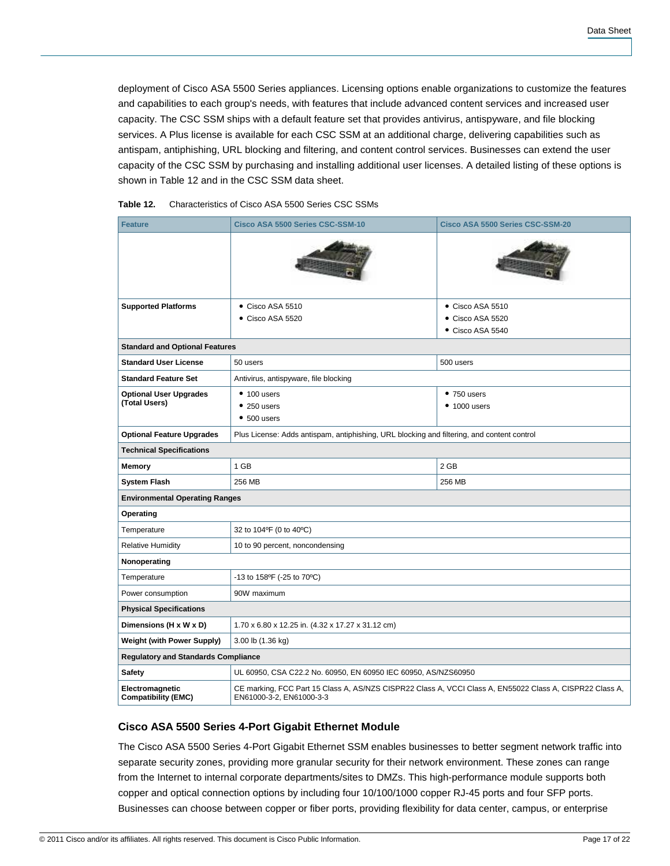deployment of Cisco ASA 5500 Series appliances. Licensing options enable organizations to customize the features and capabilities to each group's needs, with features that include advanced content services and increased user capacity. The CSC SSM ships with a default feature set that provides antivirus, antispyware, and file blocking services. A Plus license is available for each CSC SSM at an additional charge, delivering capabilities such as antispam, antiphishing, URL blocking and filtering, and content control services. Businesses can extend the user capacity of the CSC SSM by purchasing and installing additional user licenses. A detailed listing of these options is shown in Table 12 and in the CSC SSM data sheet.

| <b>Feature</b>                                | Cisco ASA 5500 Series CSC-SSM-10                                                                                                     | Cisco ASA 5500 Series CSC-SSM-20 |  |  |  |
|-----------------------------------------------|--------------------------------------------------------------------------------------------------------------------------------------|----------------------------------|--|--|--|
|                                               |                                                                                                                                      |                                  |  |  |  |
| <b>Supported Platforms</b>                    | Cisco ASA 5510                                                                                                                       | Cisco ASA 5510                   |  |  |  |
|                                               | Cisco ASA 5520                                                                                                                       | Cisco ASA 5520                   |  |  |  |
|                                               |                                                                                                                                      | $\bullet$ Cisco ASA 5540         |  |  |  |
| <b>Standard and Optional Features</b>         |                                                                                                                                      |                                  |  |  |  |
| <b>Standard User License</b>                  | 50 users                                                                                                                             | 500 users                        |  |  |  |
| <b>Standard Feature Set</b>                   | Antivirus, antispyware, file blocking                                                                                                |                                  |  |  |  |
| <b>Optional User Upgrades</b>                 | $\bullet$ 100 users<br>$•750$ users                                                                                                  |                                  |  |  |  |
| (Total Users)                                 | $• 250$ users                                                                                                                        | $• 1000$ users                   |  |  |  |
|                                               | $•500$ users                                                                                                                         |                                  |  |  |  |
| <b>Optional Feature Upgrades</b>              | Plus License: Adds antispam, antiphishing, URL blocking and filtering, and content control                                           |                                  |  |  |  |
| <b>Technical Specifications</b>               |                                                                                                                                      |                                  |  |  |  |
| Memory                                        | 1 GB                                                                                                                                 | 2 GB                             |  |  |  |
| <b>System Flash</b>                           | 256 MB                                                                                                                               | 256 MB                           |  |  |  |
| <b>Environmental Operating Ranges</b>         |                                                                                                                                      |                                  |  |  |  |
| Operating                                     |                                                                                                                                      |                                  |  |  |  |
| Temperature                                   | 32 to 104°F (0 to 40°C)                                                                                                              |                                  |  |  |  |
| <b>Relative Humidity</b>                      | 10 to 90 percent, noncondensing                                                                                                      |                                  |  |  |  |
| Nonoperating                                  |                                                                                                                                      |                                  |  |  |  |
| Temperature                                   | -13 to 158°F (-25 to 70°C)                                                                                                           |                                  |  |  |  |
| Power consumption                             | 90W maximum                                                                                                                          |                                  |  |  |  |
| <b>Physical Specifications</b>                |                                                                                                                                      |                                  |  |  |  |
| Dimensions (H x W x D)                        | 1.70 x 6.80 x 12.25 in. (4.32 x 17.27 x 31.12 cm)                                                                                    |                                  |  |  |  |
| <b>Weight (with Power Supply)</b>             | 3.00 lb (1.36 kg)                                                                                                                    |                                  |  |  |  |
| <b>Regulatory and Standards Compliance</b>    |                                                                                                                                      |                                  |  |  |  |
| Safety                                        | UL 60950, CSA C22.2 No. 60950, EN 60950 IEC 60950, AS/NZS60950                                                                       |                                  |  |  |  |
| Electromagnetic<br><b>Compatibility (EMC)</b> | CE marking, FCC Part 15 Class A, AS/NZS CISPR22 Class A, VCCI Class A, EN55022 Class A, CISPR22 Class A,<br>EN61000-3-2, EN61000-3-3 |                                  |  |  |  |

#### **Table 12.** Characteristics of Cisco ASA 5500 Series CSC SSMs

#### **Cisco ASA 5500 Series 4-Port Gigabit Ethernet Module**

The Cisco ASA 5500 Series 4-Port Gigabit Ethernet SSM enables businesses to better segment network traffic into separate security zones, providing more granular security for their network environment. These zones can range from the Internet to internal corporate departments/sites to DMZs. This high-performance module supports both copper and optical connection options by including four 10/100/1000 copper RJ-45 ports and four SFP ports. Businesses can choose between copper or fiber ports, providing flexibility for data center, campus, or enterprise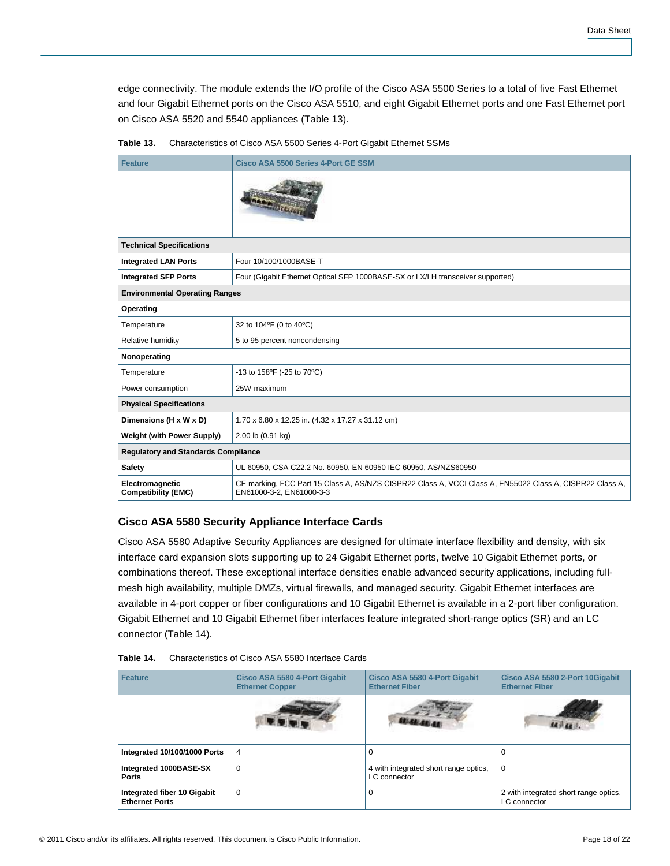edge connectivity. The module extends the I/O profile of the Cisco ASA 5500 Series to a total of five Fast Ethernet and four Gigabit Ethernet ports on the Cisco ASA 5510, and eight Gigabit Ethernet ports and one Fast Ethernet port on Cisco ASA 5520 and 5540 appliances (Table 13).

| <b>Feature</b>                                | <b>Cisco ASA 5500 Series 4-Port GE SSM</b>                                                                                           |  |  |  |  |
|-----------------------------------------------|--------------------------------------------------------------------------------------------------------------------------------------|--|--|--|--|
|                                               | <b>SARA STORES</b>                                                                                                                   |  |  |  |  |
| <b>Technical Specifications</b>               |                                                                                                                                      |  |  |  |  |
| <b>Integrated LAN Ports</b>                   | Four 10/100/1000BASE-T                                                                                                               |  |  |  |  |
| <b>Integrated SFP Ports</b>                   | Four (Gigabit Ethernet Optical SFP 1000BASE-SX or LX/LH transceiver supported)                                                       |  |  |  |  |
|                                               | <b>Environmental Operating Ranges</b>                                                                                                |  |  |  |  |
| Operating                                     |                                                                                                                                      |  |  |  |  |
| Temperature                                   | 32 to 104°F (0 to 40°C)                                                                                                              |  |  |  |  |
| Relative humidity                             | 5 to 95 percent noncondensing                                                                                                        |  |  |  |  |
| Nonoperating                                  |                                                                                                                                      |  |  |  |  |
| Temperature                                   | -13 to 158°F (-25 to 70°C)                                                                                                           |  |  |  |  |
| Power consumption                             | 25W maximum                                                                                                                          |  |  |  |  |
| <b>Physical Specifications</b>                |                                                                                                                                      |  |  |  |  |
| Dimensions (H x W x D)                        | 1.70 x 6.80 x 12.25 in. (4.32 x 17.27 x 31.12 cm)                                                                                    |  |  |  |  |
| <b>Weight (with Power Supply)</b>             | 2.00 lb (0.91 kg)                                                                                                                    |  |  |  |  |
| <b>Regulatory and Standards Compliance</b>    |                                                                                                                                      |  |  |  |  |
| <b>Safety</b>                                 | UL 60950, CSA C22.2 No. 60950, EN 60950 IEC 60950, AS/NZS60950                                                                       |  |  |  |  |
| Electromagnetic<br><b>Compatibility (EMC)</b> | CE marking, FCC Part 15 Class A, AS/NZS CISPR22 Class A, VCCI Class A, EN55022 Class A, CISPR22 Class A,<br>EN61000-3-2, EN61000-3-3 |  |  |  |  |

**Table 13.** Characteristics of Cisco ASA 5500 Series 4-Port Gigabit Ethernet SSMs

# **Cisco ASA 5580 Security Appliance Interface Cards**

Cisco ASA 5580 Adaptive Security Appliances are designed for ultimate interface flexibility and density, with six interface card expansion slots supporting up to 24 Gigabit Ethernet ports, twelve 10 Gigabit Ethernet ports, or combinations thereof. These exceptional interface densities enable advanced security applications, including fullmesh high availability, multiple DMZs, virtual firewalls, and managed security. Gigabit Ethernet interfaces are available in 4-port copper or fiber configurations and 10 Gigabit Ethernet is available in a 2-port fiber configuration. Gigabit Ethernet and 10 Gigabit Ethernet fiber interfaces feature integrated short-range optics (SR) and an LC connector (Table 14).

| <b>Feature</b>                                       | Cisco ASA 5580 4-Port Gigabit<br><b>Ethernet Copper</b> | Cisco ASA 5580 4-Port Gigabit<br><b>Ethernet Fiber</b> | Cisco ASA 5580 2-Port 10Gigabit<br><b>Ethernet Fiber</b> |
|------------------------------------------------------|---------------------------------------------------------|--------------------------------------------------------|----------------------------------------------------------|
|                                                      |                                                         |                                                        |                                                          |
| Integrated 10/100/1000 Ports                         | 4                                                       |                                                        |                                                          |
| Integrated 1000BASE-SX<br><b>Ports</b>               | $\mathbf 0$                                             | 4 with integrated short range optics,<br>LC connector  | 0                                                        |
| Integrated fiber 10 Gigabit<br><b>Ethernet Ports</b> | $\Omega$                                                |                                                        | 2 with integrated short range optics,<br>LC connector    |

**Table 14.** Characteristics of Cisco ASA 5580 Interface Cards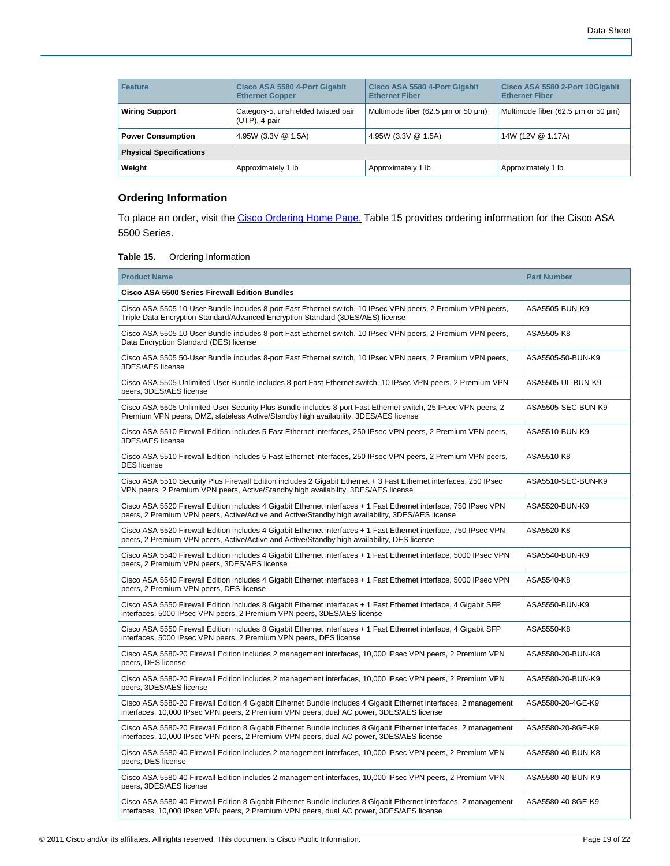| Feature                        | Cisco ASA 5580 4-Port Gigabit<br><b>Ethernet Copper</b> | <b>Cisco ASA 5580 4-Port Gigabit</b><br><b>Ethernet Fiber</b> | Cisco ASA 5580 2-Port 10Gigabit<br><b>Ethernet Fiber</b> |  |  |
|--------------------------------|---------------------------------------------------------|---------------------------------------------------------------|----------------------------------------------------------|--|--|
| <b>Wiring Support</b>          | Category-5, unshielded twisted pair<br>(UTP), 4-pair    | Multimode fiber (62.5 um or 50 um)                            | Multimode fiber (62.5 um or 50 um)                       |  |  |
| <b>Power Consumption</b>       | 4.95W (3.3V @ 1.5A)                                     | 4.95W (3.3V @ 1.5A)                                           | 14W (12V @ 1.17A)                                        |  |  |
| <b>Physical Specifications</b> |                                                         |                                                               |                                                          |  |  |
| Weight                         | Approximately 1 lb                                      | Approximately 1 lb                                            | Approximately 1 lb                                       |  |  |

# **Ordering Information**

To place an order, visit the [Cisco Ordering Home Page.](http://www.cisco.com/en/US/ordering/or13/or8/order_customer_help_how_to_order_listing.html) Table 15 provides ordering information for the Cisco ASA 5500 Series.

#### **Table 15.** Ordering Information

| <b>Product Name</b>                                                                                                                                                                                                   | <b>Part Number</b> |  |
|-----------------------------------------------------------------------------------------------------------------------------------------------------------------------------------------------------------------------|--------------------|--|
| Cisco ASA 5500 Series Firewall Edition Bundles                                                                                                                                                                        |                    |  |
| Cisco ASA 5505 10-User Bundle includes 8-port Fast Ethernet switch, 10 IPsec VPN peers, 2 Premium VPN peers,<br>Triple Data Encryption Standard/Advanced Encryption Standard (3DES/AES) license                       | ASA5505-BUN-K9     |  |
| Cisco ASA 5505 10-User Bundle includes 8-port Fast Ethernet switch, 10 IPsec VPN peers, 2 Premium VPN peers,<br>Data Encryption Standard (DES) license                                                                | ASA5505-K8         |  |
| Cisco ASA 5505 50-User Bundle includes 8-port Fast Ethernet switch, 10 IPsec VPN peers, 2 Premium VPN peers,<br>3DES/AES license                                                                                      | ASA5505-50-BUN-K9  |  |
| Cisco ASA 5505 Unlimited-User Bundle includes 8-port Fast Ethernet switch, 10 IPsec VPN peers, 2 Premium VPN<br>peers, 3DES/AES license                                                                               | ASA5505-UL-BUN-K9  |  |
| Cisco ASA 5505 Unlimited-User Security Plus Bundle includes 8-port Fast Ethernet switch, 25 IPsec VPN peers, 2<br>Premium VPN peers, DMZ, stateless Active/Standby high availability, 3DES/AES license                | ASA5505-SEC-BUN-K9 |  |
| Cisco ASA 5510 Firewall Edition includes 5 Fast Ethernet interfaces, 250 IPsec VPN peers, 2 Premium VPN peers,<br>3DES/AES license                                                                                    | ASA5510-BUN-K9     |  |
| Cisco ASA 5510 Firewall Edition includes 5 Fast Ethernet interfaces, 250 IPsec VPN peers, 2 Premium VPN peers,<br><b>DES</b> license                                                                                  | ASA5510-K8         |  |
| Cisco ASA 5510 Security Plus Firewall Edition includes 2 Gigabit Ethernet + 3 Fast Ethernet interfaces, 250 IPsec<br>VPN peers, 2 Premium VPN peers, Active/Standby high availability, 3DES/AES license               | ASA5510-SEC-BUN-K9 |  |
| Cisco ASA 5520 Firewall Edition includes 4 Gigabit Ethernet interfaces + 1 Fast Ethernet interface, 750 IPsec VPN<br>peers, 2 Premium VPN peers, Active/Active and Active/Standby high availability, 3DES/AES license | ASA5520-BUN-K9     |  |
| Cisco ASA 5520 Firewall Edition includes 4 Gigabit Ethernet interfaces + 1 Fast Ethernet interface, 750 IPsec VPN<br>peers, 2 Premium VPN peers, Active/Active and Active/Standby high availability, DES license      | ASA5520-K8         |  |
| Cisco ASA 5540 Firewall Edition includes 4 Gigabit Ethernet interfaces + 1 Fast Ethernet interface, 5000 IPsec VPN<br>peers, 2 Premium VPN peers, 3DES/AES license                                                    | ASA5540-BUN-K9     |  |
| Cisco ASA 5540 Firewall Edition includes 4 Gigabit Ethernet interfaces + 1 Fast Ethernet interface, 5000 IPsec VPN<br>peers, 2 Premium VPN peers, DES license                                                         | ASA5540-K8         |  |
| Cisco ASA 5550 Firewall Edition includes 8 Gigabit Ethernet interfaces + 1 Fast Ethernet interface, 4 Gigabit SFP<br>interfaces, 5000 IPsec VPN peers, 2 Premium VPN peers, 3DES/AES license                          | ASA5550-BUN-K9     |  |
| Cisco ASA 5550 Firewall Edition includes 8 Gigabit Ethernet interfaces + 1 Fast Ethernet interface, 4 Gigabit SFP<br>interfaces, 5000 IPsec VPN peers, 2 Premium VPN peers, DES license                               | ASA5550-K8         |  |
| Cisco ASA 5580-20 Firewall Edition includes 2 management interfaces, 10,000 IPsec VPN peers, 2 Premium VPN<br>peers, DES license                                                                                      | ASA5580-20-BUN-K8  |  |
| Cisco ASA 5580-20 Firewall Edition includes 2 management interfaces, 10,000 IPsec VPN peers, 2 Premium VPN<br>peers, 3DES/AES license                                                                                 | ASA5580-20-BUN-K9  |  |
| Cisco ASA 5580-20 Firewall Edition 4 Gigabit Ethernet Bundle includes 4 Gigabit Ethernet interfaces, 2 management<br>interfaces, 10,000 IPsec VPN peers, 2 Premium VPN peers, dual AC power, 3DES/AES license         | ASA5580-20-4GE-K9  |  |
| Cisco ASA 5580-20 Firewall Edition 8 Gigabit Ethernet Bundle includes 8 Gigabit Ethernet interfaces, 2 management<br>interfaces, 10,000 IPsec VPN peers, 2 Premium VPN peers, dual AC power, 3DES/AES license         | ASA5580-20-8GE-K9  |  |
| Cisco ASA 5580-40 Firewall Edition includes 2 management interfaces, 10,000 IPsec VPN peers, 2 Premium VPN<br>peers, DES license                                                                                      | ASA5580-40-BUN-K8  |  |
| Cisco ASA 5580-40 Firewall Edition includes 2 management interfaces, 10,000 IPsec VPN peers, 2 Premium VPN<br>peers, 3DES/AES license                                                                                 | ASA5580-40-BUN-K9  |  |
| Cisco ASA 5580-40 Firewall Edition 8 Gigabit Ethernet Bundle includes 8 Gigabit Ethernet interfaces, 2 management<br>interfaces, 10,000 IPsec VPN peers, 2 Premium VPN peers, dual AC power, 3DES/AES license         | ASA5580-40-8GE-K9  |  |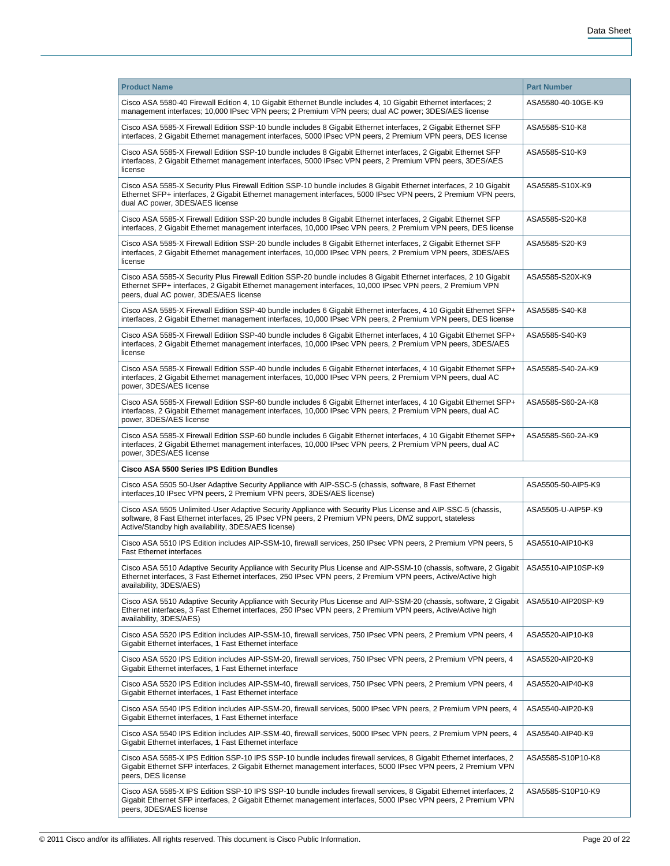| <b>Product Name</b>                                                                                                                                                                                                                                                                 | <b>Part Number</b> |
|-------------------------------------------------------------------------------------------------------------------------------------------------------------------------------------------------------------------------------------------------------------------------------------|--------------------|
| Cisco ASA 5580-40 Firewall Edition 4, 10 Gigabit Ethernet Bundle includes 4, 10 Gigabit Ethernet interfaces; 2<br>management interfaces; 10,000 IPsec VPN peers; 2 Premium VPN peers; dual AC power; 3DES/AES license                                                               | ASA5580-40-10GE-K9 |
| Cisco ASA 5585-X Firewall Edition SSP-10 bundle includes 8 Gigabit Ethernet interfaces, 2 Gigabit Ethernet SFP<br>interfaces, 2 Gigabit Ethernet management interfaces, 5000 IPsec VPN peers, 2 Premium VPN peers, DES license                                                      | ASA5585-S10-K8     |
| Cisco ASA 5585-X Firewall Edition SSP-10 bundle includes 8 Gigabit Ethernet interfaces, 2 Gigabit Ethernet SFP<br>interfaces, 2 Gigabit Ethernet management interfaces, 5000 IPsec VPN peers, 2 Premium VPN peers, 3DES/AES<br>license                                              | ASA5585-S10-K9     |
| Cisco ASA 5585-X Security Plus Firewall Edition SSP-10 bundle includes 8 Gigabit Ethernet interfaces, 2 10 Gigabit<br>Ethernet SFP+ interfaces, 2 Gigabit Ethernet management interfaces, 5000 IPsec VPN peers, 2 Premium VPN peers,<br>dual AC power, 3DES/AES license             | ASA5585-S10X-K9    |
| Cisco ASA 5585-X Firewall Edition SSP-20 bundle includes 8 Gigabit Ethernet interfaces, 2 Gigabit Ethernet SFP<br>interfaces, 2 Gigabit Ethernet management interfaces, 10,000 IPsec VPN peers, 2 Premium VPN peers, DES license                                                    | ASA5585-S20-K8     |
| Cisco ASA 5585-X Firewall Edition SSP-20 bundle includes 8 Gigabit Ethernet interfaces, 2 Gigabit Ethernet SFP<br>interfaces, 2 Gigabit Ethernet management interfaces, 10,000 IPsec VPN peers, 2 Premium VPN peers, 3DES/AES<br>license                                            | ASA5585-S20-K9     |
| Cisco ASA 5585-X Security Plus Firewall Edition SSP-20 bundle includes 8 Gigabit Ethernet interfaces, 2 10 Gigabit<br>Ethernet SFP+ interfaces, 2 Gigabit Ethernet management interfaces, 10,000 IPsec VPN peers, 2 Premium VPN<br>peers, dual AC power, 3DES/AES license           | ASA5585-S20X-K9    |
| Cisco ASA 5585-X Firewall Edition SSP-40 bundle includes 6 Gigabit Ethernet interfaces, 4 10 Gigabit Ethernet SFP+<br>interfaces, 2 Gigabit Ethernet management interfaces, 10,000 IPsec VPN peers, 2 Premium VPN peers, DES license                                                | ASA5585-S40-K8     |
| Cisco ASA 5585-X Firewall Edition SSP-40 bundle includes 6 Gigabit Ethernet interfaces, 4 10 Gigabit Ethernet SFP+<br>interfaces, 2 Gigabit Ethernet management interfaces, 10,000 IPsec VPN peers, 2 Premium VPN peers, 3DES/AES<br>license                                        | ASA5585-S40-K9     |
| Cisco ASA 5585-X Firewall Edition SSP-40 bundle includes 6 Gigabit Ethernet interfaces, 4 10 Gigabit Ethernet SFP+<br>interfaces, 2 Gigabit Ethernet management interfaces, 10,000 IPsec VPN peers, 2 Premium VPN peers, dual AC<br>power, 3DES/AES license                         | ASA5585-S40-2A-K9  |
| Cisco ASA 5585-X Firewall Edition SSP-60 bundle includes 6 Gigabit Ethernet interfaces, 4 10 Gigabit Ethernet SFP+<br>interfaces, 2 Gigabit Ethernet management interfaces, 10,000 IPsec VPN peers, 2 Premium VPN peers, dual AC<br>power, 3DES/AES license                         | ASA5585-S60-2A-K8  |
| Cisco ASA 5585-X Firewall Edition SSP-60 bundle includes 6 Gigabit Ethernet interfaces, 4 10 Gigabit Ethernet SFP+<br>interfaces, 2 Gigabit Ethernet management interfaces, 10,000 IPsec VPN peers, 2 Premium VPN peers, dual AC<br>power, 3DES/AES license                         | ASA5585-S60-2A-K9  |
| Cisco ASA 5500 Series IPS Edition Bundles                                                                                                                                                                                                                                           |                    |
| Cisco ASA 5505 50-User Adaptive Security Appliance with AIP-SSC-5 (chassis, software, 8 Fast Ethernet<br>interfaces, 10 IPsec VPN peers, 2 Premium VPN peers, 3DES/AES license)                                                                                                     | ASA5505-50-AIP5-K9 |
| Cisco ASA 5505 Unlimited-User Adaptive Security Appliance with Security Plus License and AIP-SSC-5 (chassis,<br>software, 8 Fast Ethernet interfaces, 25 IPsec VPN peers, 2 Premium VPN peers, DMZ support, stateless<br>Active/Standby high availability, 3DES/AES license)        | ASA5505-U-AIP5P-K9 |
| Cisco ASA 5510 IPS Edition includes AIP-SSM-10, firewall services, 250 IPsec VPN peers, 2 Premium VPN peers, 5<br><b>Fast Ethernet interfaces</b>                                                                                                                                   | ASA5510-AIP10-K9   |
| Cisco ASA 5510 Adaptive Security Appliance with Security Plus License and AIP-SSM-10 (chassis, software, 2 Gigabit   ASA5510-AIP10SP-K9<br>Ethernet interfaces, 3 Fast Ethernet interfaces, 250 IPsec VPN peers, 2 Premium VPN peers, Active/Active high<br>availability, 3DES/AES) |                    |
| Cisco ASA 5510 Adaptive Security Appliance with Security Plus License and AIP-SSM-20 (chassis, software, 2 Gigabit<br>Ethernet interfaces, 3 Fast Ethernet interfaces, 250 IPsec VPN peers, 2 Premium VPN peers, Active/Active high<br>availability, 3DES/AES)                      | ASA5510-AIP20SP-K9 |
| Cisco ASA 5520 IPS Edition includes AIP-SSM-10, firewall services, 750 IPsec VPN peers, 2 Premium VPN peers, 4<br>Gigabit Ethernet interfaces, 1 Fast Ethernet interface                                                                                                            | ASA5520-AIP10-K9   |
| Cisco ASA 5520 IPS Edition includes AIP-SSM-20, firewall services, 750 IPsec VPN peers, 2 Premium VPN peers, 4<br>Gigabit Ethernet interfaces, 1 Fast Ethernet interface                                                                                                            | ASA5520-AIP20-K9   |
| Cisco ASA 5520 IPS Edition includes AIP-SSM-40, firewall services, 750 IPsec VPN peers, 2 Premium VPN peers, 4<br>Gigabit Ethernet interfaces, 1 Fast Ethernet interface                                                                                                            | ASA5520-AIP40-K9   |
| Cisco ASA 5540 IPS Edition includes AIP-SSM-20, firewall services, 5000 IPsec VPN peers, 2 Premium VPN peers, 4<br>Gigabit Ethernet interfaces, 1 Fast Ethernet interface                                                                                                           | ASA5540-AIP20-K9   |
| Cisco ASA 5540 IPS Edition includes AIP-SSM-40, firewall services, 5000 IPsec VPN peers, 2 Premium VPN peers, 4<br>Gigabit Ethernet interfaces, 1 Fast Ethernet interface                                                                                                           | ASA5540-AIP40-K9   |
| Cisco ASA 5585-X IPS Edition SSP-10 IPS SSP-10 bundle includes firewall services, 8 Gigabit Ethernet interfaces, 2<br>Gigabit Ethernet SFP interfaces, 2 Gigabit Ethernet management interfaces, 5000 IPsec VPN peers, 2 Premium VPN<br>peers, DES license                          | ASA5585-S10P10-K8  |
| Cisco ASA 5585-X IPS Edition SSP-10 IPS SSP-10 bundle includes firewall services, 8 Gigabit Ethernet interfaces, 2<br>Gigabit Ethernet SFP interfaces, 2 Gigabit Ethernet management interfaces, 5000 IPsec VPN peers, 2 Premium VPN<br>peers, 3DES/AES license                     | ASA5585-S10P10-K9  |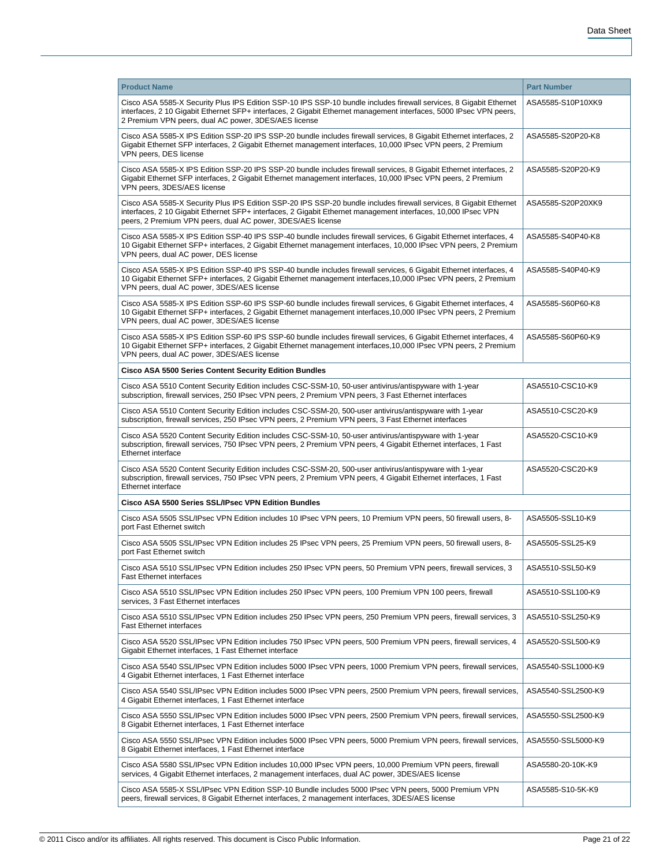| <b>Product Name</b>                                                                                                                                                                                                                                                                                | <b>Part Number</b> |
|----------------------------------------------------------------------------------------------------------------------------------------------------------------------------------------------------------------------------------------------------------------------------------------------------|--------------------|
| Cisco ASA 5585-X Security Plus IPS Edition SSP-10 IPS SSP-10 bundle includes firewall services, 8 Gigabit Ethernet<br>interfaces, 2 10 Gigabit Ethernet SFP+ interfaces, 2 Gigabit Ethernet management interfaces, 5000 IPsec VPN peers,<br>2 Premium VPN peers, dual AC power, 3DES/AES license   | ASA5585-S10P10XK9  |
| Cisco ASA 5585-X IPS Edition SSP-20 IPS SSP-20 bundle includes firewall services, 8 Gigabit Ethernet interfaces, 2<br>Gigabit Ethernet SFP interfaces, 2 Gigabit Ethernet management interfaces, 10,000 IPsec VPN peers, 2 Premium<br>VPN peers, DES license                                       | ASA5585-S20P20-K8  |
| Cisco ASA 5585-X IPS Edition SSP-20 IPS SSP-20 bundle includes firewall services, 8 Gigabit Ethernet interfaces, 2<br>Gigabit Ethernet SFP interfaces, 2 Gigabit Ethernet management interfaces, 10,000 IPsec VPN peers, 2 Premium<br>VPN peers, 3DES/AES license                                  | ASA5585-S20P20-K9  |
| Cisco ASA 5585-X Security Plus IPS Edition SSP-20 IPS SSP-20 bundle includes firewall services, 8 Gigabit Ethernet<br>interfaces, 2 10 Gigabit Ethernet SFP+ interfaces, 2 Gigabit Ethernet management interfaces, 10,000 IPsec VPN<br>peers, 2 Premium VPN peers, dual AC power, 3DES/AES license | ASA5585-S20P20XK9  |
| Cisco ASA 5585-X IPS Edition SSP-40 IPS SSP-40 bundle includes firewall services, 6 Gigabit Ethernet interfaces, 4<br>10 Gigabit Ethernet SFP+ interfaces, 2 Gigabit Ethernet management interfaces, 10,000 IPsec VPN peers, 2 Premium<br>VPN peers, dual AC power, DES license                    | ASA5585-S40P40-K8  |
| Cisco ASA 5585-X IPS Edition SSP-40 IPS SSP-40 bundle includes firewall services, 6 Gigabit Ethernet interfaces, 4<br>10 Gigabit Ethernet SFP+ interfaces, 2 Gigabit Ethernet management interfaces, 10,000 IPsec VPN peers, 2 Premium<br>VPN peers, dual AC power, 3DES/AES license               | ASA5585-S40P40-K9  |
| Cisco ASA 5585-X IPS Edition SSP-60 IPS SSP-60 bundle includes firewall services, 6 Gigabit Ethernet interfaces, 4<br>10 Gigabit Ethernet SFP+ interfaces, 2 Gigabit Ethernet management interfaces, 10,000 IPsec VPN peers, 2 Premium<br>VPN peers, dual AC power, 3DES/AES license               | ASA5585-S60P60-K8  |
| Cisco ASA 5585-X IPS Edition SSP-60 IPS SSP-60 bundle includes firewall services, 6 Gigabit Ethernet interfaces, 4<br>10 Gigabit Ethernet SFP+ interfaces, 2 Gigabit Ethernet management interfaces, 10,000 IPsec VPN peers, 2 Premium<br>VPN peers, dual AC power, 3DES/AES license               | ASA5585-S60P60-K9  |
| Cisco ASA 5500 Series Content Security Edition Bundles                                                                                                                                                                                                                                             |                    |
| Cisco ASA 5510 Content Security Edition includes CSC-SSM-10, 50-user antivirus/antispyware with 1-year<br>subscription, firewall services, 250 IPsec VPN peers, 2 Premium VPN peers, 3 Fast Ethernet interfaces                                                                                    | ASA5510-CSC10-K9   |
| Cisco ASA 5510 Content Security Edition includes CSC-SSM-20, 500-user antivirus/antispyware with 1-year<br>subscription, firewall services, 250 IPsec VPN peers, 2 Premium VPN peers, 3 Fast Ethernet interfaces                                                                                   | ASA5510-CSC20-K9   |
| Cisco ASA 5520 Content Security Edition includes CSC-SSM-10, 50-user antivirus/antispyware with 1-year<br>subscription, firewall services, 750 IPsec VPN peers, 2 Premium VPN peers, 4 Gigabit Ethernet interfaces, 1 Fast<br>Ethernet interface                                                   | ASA5520-CSC10-K9   |
| Cisco ASA 5520 Content Security Edition includes CSC-SSM-20, 500-user antivirus/antispyware with 1-year<br>subscription, firewall services, 750 IPsec VPN peers, 2 Premium VPN peers, 4 Gigabit Ethernet interfaces, 1 Fast<br><b>Ethernet interface</b>                                           | ASA5520-CSC20-K9   |
| Cisco ASA 5500 Series SSL/IPsec VPN Edition Bundles                                                                                                                                                                                                                                                |                    |
| Cisco ASA 5505 SSL/IPsec VPN Edition includes 10 IPsec VPN peers, 10 Premium VPN peers, 50 firewall users, 8-<br>port Fast Ethernet switch                                                                                                                                                         | ASA5505-SSL10-K9   |
| Cisco ASA 5505 SSL/IPsec VPN Edition includes 25 IPsec VPN peers, 25 Premium VPN peers, 50 firewall users, 8-<br>port Fast Ethernet switch                                                                                                                                                         | ASA5505-SSL25-K9   |
| Cisco ASA 5510 SSL/IPsec VPN Edition includes 250 IPsec VPN peers, 50 Premium VPN peers, firewall services, 3<br><b>Fast Ethernet interfaces</b>                                                                                                                                                   | ASA5510-SSL50-K9   |
| Cisco ASA 5510 SSL/IPsec VPN Edition includes 250 IPsec VPN peers, 100 Premium VPN 100 peers, firewall<br>services, 3 Fast Ethernet interfaces                                                                                                                                                     | ASA5510-SSL100-K9  |
| Cisco ASA 5510 SSL/IPsec VPN Edition includes 250 IPsec VPN peers, 250 Premium VPN peers, firewall services, 3<br><b>Fast Ethernet interfaces</b>                                                                                                                                                  | ASA5510-SSL250-K9  |
| Cisco ASA 5520 SSL/IPsec VPN Edition includes 750 IPsec VPN peers, 500 Premium VPN peers, firewall services, 4<br>Gigabit Ethernet interfaces, 1 Fast Ethernet interface                                                                                                                           | ASA5520-SSL500-K9  |
| Cisco ASA 5540 SSL/IPsec VPN Edition includes 5000 IPsec VPN peers, 1000 Premium VPN peers, firewall services,<br>4 Gigabit Ethernet interfaces, 1 Fast Ethernet interface                                                                                                                         | ASA5540-SSL1000-K9 |
| Cisco ASA 5540 SSL/IPsec VPN Edition includes 5000 IPsec VPN peers, 2500 Premium VPN peers, firewall services,<br>4 Gigabit Ethernet interfaces, 1 Fast Ethernet interface                                                                                                                         | ASA5540-SSL2500-K9 |
| Cisco ASA 5550 SSL/IPsec VPN Edition includes 5000 IPsec VPN peers, 2500 Premium VPN peers, firewall services,<br>8 Gigabit Ethernet interfaces, 1 Fast Ethernet interface                                                                                                                         | ASA5550-SSL2500-K9 |
| Cisco ASA 5550 SSL/IPsec VPN Edition includes 5000 IPsec VPN peers, 5000 Premium VPN peers, firewall services,<br>8 Gigabit Ethernet interfaces, 1 Fast Ethernet interface                                                                                                                         | ASA5550-SSL5000-K9 |
| Cisco ASA 5580 SSL/IPsec VPN Edition includes 10,000 IPsec VPN peers, 10,000 Premium VPN peers, firewall<br>services, 4 Gigabit Ethernet interfaces, 2 management interfaces, dual AC power, 3DES/AES license                                                                                      | ASA5580-20-10K-K9  |
| Cisco ASA 5585-X SSL/IPsec VPN Edition SSP-10 Bundle includes 5000 IPsec VPN peers, 5000 Premium VPN<br>peers, firewall services, 8 Gigabit Ethernet interfaces, 2 management interfaces, 3DES/AES license                                                                                         | ASA5585-S10-5K-K9  |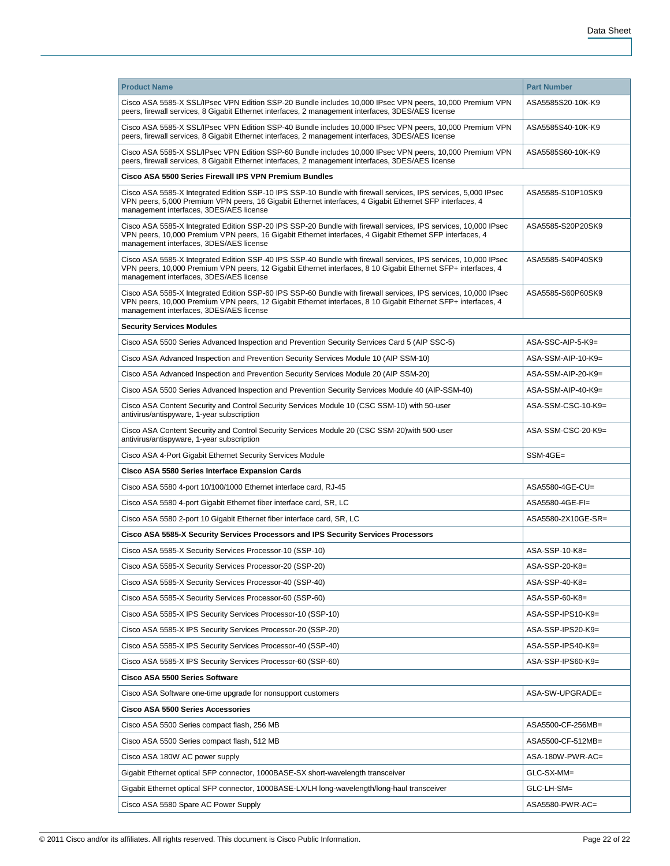| <b>Product Name</b>                                                                                                                                                                                                                                                         | <b>Part Number</b> |  |
|-----------------------------------------------------------------------------------------------------------------------------------------------------------------------------------------------------------------------------------------------------------------------------|--------------------|--|
| Cisco ASA 5585-X SSL/IPsec VPN Edition SSP-20 Bundle includes 10,000 IPsec VPN peers, 10,000 Premium VPN<br>peers, firewall services, 8 Gigabit Ethernet interfaces, 2 management interfaces, 3DES/AES license                                                              | ASA5585S20-10K-K9  |  |
| Cisco ASA 5585-X SSL/IPsec VPN Edition SSP-40 Bundle includes 10,000 IPsec VPN peers, 10,000 Premium VPN<br>peers, firewall services, 8 Gigabit Ethernet interfaces, 2 management interfaces, 3DES/AES license                                                              | ASA5585S40-10K-K9  |  |
| Cisco ASA 5585-X SSL/IPsec VPN Edition SSP-60 Bundle includes 10,000 IPsec VPN peers, 10,000 Premium VPN<br>peers, firewall services, 8 Gigabit Ethernet interfaces, 2 management interfaces, 3DES/AES license                                                              | ASA5585S60-10K-K9  |  |
| Cisco ASA 5500 Series Firewall IPS VPN Premium Bundles                                                                                                                                                                                                                      |                    |  |
| Cisco ASA 5585-X Integrated Edition SSP-10 IPS SSP-10 Bundle with firewall services, IPS services, 5,000 IPsec<br>VPN peers, 5,000 Premium VPN peers, 16 Gigabit Ethernet interfaces, 4 Gigabit Ethernet SFP interfaces, 4<br>management interfaces, 3DES/AES license       | ASA5585-S10P10SK9  |  |
| Cisco ASA 5585-X Integrated Edition SSP-20 IPS SSP-20 Bundle with firewall services, IPS services, 10,000 IPsec<br>VPN peers, 10,000 Premium VPN peers, 16 Gigabit Ethernet interfaces, 4 Gigabit Ethernet SFP interfaces, 4<br>management interfaces, 3DES/AES license     | ASA5585-S20P20SK9  |  |
| Cisco ASA 5585-X Integrated Edition SSP-40 IPS SSP-40 Bundle with firewall services, IPS services, 10,000 IPsec<br>VPN peers, 10,000 Premium VPN peers, 12 Gigabit Ethernet interfaces, 8 10 Gigabit Ethernet SFP+ interfaces, 4<br>management interfaces, 3DES/AES license | ASA5585-S40P40SK9  |  |
| Cisco ASA 5585-X Integrated Edition SSP-60 IPS SSP-60 Bundle with firewall services, IPS services, 10,000 IPsec<br>VPN peers, 10,000 Premium VPN peers, 12 Gigabit Ethernet interfaces, 8 10 Gigabit Ethernet SFP+ interfaces, 4<br>management interfaces, 3DES/AES license | ASA5585-S60P60SK9  |  |
| <b>Security Services Modules</b>                                                                                                                                                                                                                                            |                    |  |
| Cisco ASA 5500 Series Advanced Inspection and Prevention Security Services Card 5 (AIP SSC-5)                                                                                                                                                                               | ASA-SSC-AIP-5-K9=  |  |
| Cisco ASA Advanced Inspection and Prevention Security Services Module 10 (AIP SSM-10)                                                                                                                                                                                       | ASA-SSM-AIP-10-K9= |  |
| Cisco ASA Advanced Inspection and Prevention Security Services Module 20 (AIP SSM-20)                                                                                                                                                                                       | ASA-SSM-AIP-20-K9= |  |
| Cisco ASA 5500 Series Advanced Inspection and Prevention Security Services Module 40 (AIP-SSM-40)                                                                                                                                                                           | ASA-SSM-AIP-40-K9= |  |
| Cisco ASA Content Security and Control Security Services Module 10 (CSC SSM-10) with 50-user<br>antivirus/antispyware, 1-year subscription                                                                                                                                  | ASA-SSM-CSC-10-K9= |  |
| Cisco ASA Content Security and Control Security Services Module 20 (CSC SSM-20) with 500-user<br>antivirus/antispyware, 1-year subscription                                                                                                                                 | ASA-SSM-CSC-20-K9= |  |
| Cisco ASA 4-Port Gigabit Ethernet Security Services Module                                                                                                                                                                                                                  | SSM-4GE=           |  |
| Cisco ASA 5580 Series Interface Expansion Cards                                                                                                                                                                                                                             |                    |  |
| Cisco ASA 5580 4-port 10/100/1000 Ethernet interface card, RJ-45                                                                                                                                                                                                            | ASA5580-4GE-CU=    |  |
| Cisco ASA 5580 4-port Gigabit Ethernet fiber interface card, SR, LC                                                                                                                                                                                                         | ASA5580-4GE-FI=    |  |
| Cisco ASA 5580 2-port 10 Gigabit Ethernet fiber interface card, SR, LC                                                                                                                                                                                                      | ASA5580-2X10GE-SR= |  |
| Cisco ASA 5585-X Security Services Processors and IPS Security Services Processors                                                                                                                                                                                          |                    |  |
| Cisco ASA 5585-X Security Services Processor-10 (SSP-10)                                                                                                                                                                                                                    | ASA-SSP-10-K8=     |  |
| Cisco ASA 5585-X Security Services Processor-20 (SSP-20)                                                                                                                                                                                                                    | ASA-SSP-20-K8=     |  |
| Cisco ASA 5585-X Security Services Processor-40 (SSP-40)                                                                                                                                                                                                                    | ASA-SSP-40-K8=     |  |
| Cisco ASA 5585-X Security Services Processor-60 (SSP-60)                                                                                                                                                                                                                    | ASA-SSP-60-K8=     |  |
| Cisco ASA 5585-X IPS Security Services Processor-10 (SSP-10)                                                                                                                                                                                                                | ASA-SSP-IPS10-K9=  |  |
| Cisco ASA 5585-X IPS Security Services Processor-20 (SSP-20)                                                                                                                                                                                                                | ASA-SSP-IPS20-K9=  |  |
| Cisco ASA 5585-X IPS Security Services Processor-40 (SSP-40)                                                                                                                                                                                                                | ASA-SSP-IPS40-K9=  |  |
| Cisco ASA 5585-X IPS Security Services Processor-60 (SSP-60)                                                                                                                                                                                                                | ASA-SSP-IPS60-K9=  |  |
| Cisco ASA 5500 Series Software                                                                                                                                                                                                                                              |                    |  |
| Cisco ASA Software one-time upgrade for nonsupport customers                                                                                                                                                                                                                | ASA-SW-UPGRADE=    |  |
| <b>Cisco ASA 5500 Series Accessories</b>                                                                                                                                                                                                                                    |                    |  |
| Cisco ASA 5500 Series compact flash, 256 MB                                                                                                                                                                                                                                 | ASA5500-CF-256MB=  |  |
| Cisco ASA 5500 Series compact flash, 512 MB                                                                                                                                                                                                                                 | ASA5500-CF-512MB=  |  |
| Cisco ASA 180W AC power supply                                                                                                                                                                                                                                              | ASA-180W-PWR-AC=   |  |
|                                                                                                                                                                                                                                                                             |                    |  |
| Gigabit Ethernet optical SFP connector, 1000BASE-SX short-wavelength transceiver                                                                                                                                                                                            | GLC-SX-MM=         |  |
| Gigabit Ethernet optical SFP connector, 1000BASE-LX/LH long-wavelength/long-haul transceiver                                                                                                                                                                                | GLC-LH-SM=         |  |